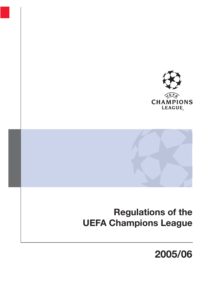



# **Regulations of the UEFA Champions League**

# **2005/06**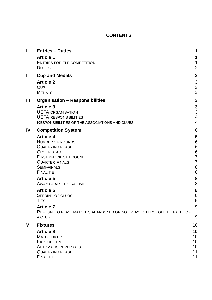# **CONTENTS**

| I           | <b>Entries - Duties</b>                                               | 1              |
|-------------|-----------------------------------------------------------------------|----------------|
|             | <b>Article 1</b>                                                      | 1              |
|             | <b>ENTRIES FOR THE COMPETITION</b>                                    | 1              |
|             | <b>DUTIES</b>                                                         | $\overline{2}$ |
| Ш           | <b>Cup and Medals</b>                                                 | 3              |
|             | <b>Article 2</b>                                                      | 3              |
|             | <b>CUP</b><br><b>MEDALS</b>                                           | 3<br>3         |
|             |                                                                       |                |
| Ш           | <b>Organisation - Responsibilities</b>                                | 3              |
|             | <b>Article 3</b><br><b>UEFA ORGANISATION</b>                          | 3<br>3         |
|             | <b>UEFA RESPONSIBILITIES</b>                                          | $\overline{4}$ |
|             | RESPONSIBILITIES OF THE ASSOCIATIONS AND CLUBS                        | $\overline{4}$ |
| IV          | <b>Competition System</b>                                             | 6              |
|             | <b>Article 4</b>                                                      | 6              |
|             | <b>NUMBER OF ROUNDS</b>                                               | 6              |
|             | <b>QUALIFYING PHASE</b>                                               | 6              |
|             | <b>GROUP STAGE</b><br><b>FIRST KNOCK-OUT ROUND</b>                    | 6<br>7         |
|             | QUARTER-FINALS                                                        | $\overline{7}$ |
|             | <b>SEMI-FINALS</b>                                                    | 8              |
|             | <b>FINAL TIE</b>                                                      | 8              |
|             | <b>Article 5</b>                                                      | 8              |
|             | AWAY GOALS, EXTRA TIME                                                | 8              |
|             | <b>Article 6</b><br><b>SEEDING OF CLUBS</b>                           | 8<br>8         |
|             | <b>TIES</b>                                                           | 9              |
|             | <b>Article 7</b>                                                      | 9              |
|             | REFUSAL TO PLAY, MATCHES ABANDONED OR NOT PLAYED THROUGH THE FAULT OF |                |
|             | A CLUB                                                                | 9              |
| $\mathbf v$ | <b>Fixtures</b>                                                       | 10             |
|             | <b>Article 8</b>                                                      | 10             |
|             | <b>MATCH DATES</b>                                                    | 10             |
|             | <b>KICK-OFF TIME</b><br><b>AUTOMATIC REVERSALS</b>                    | 10<br>10       |
|             | <b>QUALIFYING PHASE</b>                                               | 11             |
|             | <b>FINAL TIE</b>                                                      | 11             |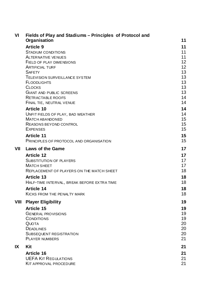| VI   | Fields of Play and Stadiums - Principles of Protocol and<br>Organisation                                                      | 11                         |
|------|-------------------------------------------------------------------------------------------------------------------------------|----------------------------|
|      | <b>Article 9</b><br><b>STADIUM CONDITIONS</b><br><b>ALTERNATIVE VENUES</b><br>FIELD OF PLAY DIMENSIONS                        | 11<br>11<br>11<br>12       |
|      | <b>ARTIFICIAL TURF</b><br><b>SAFETY</b><br>TELEVISION SURVEILLANCE SYSTEM                                                     | 12<br>13<br>13             |
|      | <b>FLOODLIGHTS</b><br><b>CLOCKS</b><br><b>GIANT AND PUBLIC SCREENS</b><br>RETRACTABLE ROOFS                                   | 13<br>13<br>13<br>14       |
|      | FINAL TIE, NEUTRAL VENUE                                                                                                      | 14                         |
|      | <b>Article 10</b><br>UNFIT FIELDS OF PLAY, BAD WEATHER<br><b>MATCH ABANDONED</b><br>REASONS BEYOND CONTROL<br><b>EXPENSES</b> | 14<br>14<br>15<br>15<br>15 |
|      | <b>Article 11</b><br>PRINCIPLES OF PROTOCOL AND ORGANISATION                                                                  | 15<br>15                   |
| VII  | <b>Laws of the Game</b>                                                                                                       | 17                         |
|      | <b>Article 12</b><br><b>SUBSTITUTION OF PLAYERS</b><br><b>MATCH SHEET</b><br>REPLACEMENT OF PLAYERS ON THE MATCH SHEET        | 17<br>17<br>17<br>18       |
|      | <b>Article 13</b><br>HALF-TIME INTERVAL, BREAK BEFORE EXTRA TIME                                                              | 18<br>18                   |
|      | <b>Article 14</b><br><b>KICKS FROM THE PENALTY MARK</b>                                                                       | 18<br>18                   |
| VIII | <b>Player Eligibility</b><br><b>Article 15</b><br><b>GENERAL PROVISIONS</b><br><b>CONDITIONS</b>                              | 19<br>19<br>19<br>19       |
|      | QUOTA<br><b>DEADLINES</b><br><b>SUBSEQUENT REGISTRATION</b><br><b>PLAYER NUMBERS</b>                                          | 20<br>20<br>20<br>21       |
| ΙX   | Kit                                                                                                                           | 21                         |
|      | <b>Article 16</b><br><b>UEFA KIT REGULATIONS</b><br><b>KIT APPROVAL PROCEDURE</b>                                             | 21<br>21<br>21             |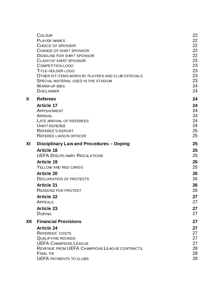| COLOUR<br>PLAYER NAMES<br>CHOICE OF SPONSOR<br>CHANGE OF SHIRT SPONSOR<br><b>DEADLINE FOR SHIRT SPONSOR</b><br>CLASH OF SHIRT SPONSOR<br><b>COMPETITION LOGO</b> | 22<br>22<br>22<br>22<br>22<br>23<br>23<br>23 |
|------------------------------------------------------------------------------------------------------------------------------------------------------------------|----------------------------------------------|
| OTHER KIT ITEMS WORN BY PLAYERS AND CLUB OFFICIALS                                                                                                               | 23                                           |
| SPECIAL MATERIAL USED IN THE STADIUM                                                                                                                             | 23                                           |
| <b>WARM-UP BIBS</b>                                                                                                                                              | 24                                           |
| <b>DISCLAIMER</b>                                                                                                                                                | 24                                           |
| <b>Referees</b>                                                                                                                                                  | 24                                           |
| <b>Article 17</b>                                                                                                                                                | 24                                           |
| APPOINTMENT                                                                                                                                                      | 24                                           |
| ARRIVAL                                                                                                                                                          | 24                                           |
| LATE ARRIVAL OF REFEREES                                                                                                                                         | 24                                           |
| <b>UNFIT REFEREE</b>                                                                                                                                             | 24                                           |
| REFEREE'S REPORT                                                                                                                                                 | 25                                           |
| <b>REFEREE LIAISON OFFICER</b>                                                                                                                                   | 25                                           |
| Disciplinary Law and Procedures - Doping                                                                                                                         | 25                                           |
| <b>Article 18</b>                                                                                                                                                | 25                                           |
| <b>UEFA DISCIPLINARY REGULATIONS</b>                                                                                                                             | 25                                           |
| <b>Article 19</b>                                                                                                                                                | 25                                           |
| YELLOW AND RED CARDS                                                                                                                                             | 25                                           |
| <b>Article 20</b>                                                                                                                                                | 26                                           |
| <b>DECLARATION OF PROTESTS</b>                                                                                                                                   | 26                                           |
| <b>Article 21</b>                                                                                                                                                | 26                                           |
| <b>REASONS FOR PROTEST</b>                                                                                                                                       | 26                                           |
| <b>Article 22</b>                                                                                                                                                | 27                                           |
| APPEALS                                                                                                                                                          | 27                                           |
| <b>Article 23</b>                                                                                                                                                | 27                                           |
| <b>DOPING</b>                                                                                                                                                    | 27                                           |
| <b>Financial Provisions</b>                                                                                                                                      | 27                                           |
| <b>Article 24</b>                                                                                                                                                | 27                                           |
| <b>REFEREES' COSTS</b>                                                                                                                                           | 27                                           |
| <b>QUALIFYING ROUNDS</b>                                                                                                                                         | 27                                           |
| <b>UEFA CHAMPIONS LEAGUE</b>                                                                                                                                     | 27                                           |
| REVENUE FROM UEFA CHAMPIONS LEAGUE CONTRACTS                                                                                                                     | 28                                           |
| <b>FINAL TIE</b>                                                                                                                                                 | 28                                           |
| <b>UEFA PAYMENTS TO CLUBS</b>                                                                                                                                    | 29                                           |
|                                                                                                                                                                  | <b>TITLE-HOLDER LOGO</b>                     |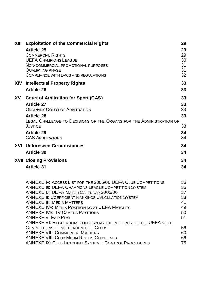| XIII       | <b>Exploitation of the Commercial Rights</b>                                                   | 29       |
|------------|------------------------------------------------------------------------------------------------|----------|
|            | <b>Article 25</b>                                                                              | 29       |
|            | <b>COMMERCIAL RIGHTS</b>                                                                       | 29       |
|            | <b>UEFA CHAMPIONS LEAGUE</b>                                                                   | 30       |
|            | NON-COMMERCIAL PROMOTIONAL PURPOSES                                                            | 31       |
|            | <b>QUALIFYING PHASE</b><br>COMPLIANCE WITH LAWS AND REGULATIONS                                | 31<br>32 |
|            |                                                                                                |          |
| <b>XIV</b> | <b>Intellectual Property Rights</b>                                                            | 33       |
|            | <b>Article 26</b>                                                                              | 33       |
| XV         | <b>Court of Arbitration for Sport (CAS)</b>                                                    | 33       |
|            | <b>Article 27</b>                                                                              | 33       |
|            | ORDINARY COURT OF ARBITRATION                                                                  | 33       |
|            | <b>Article 28</b>                                                                              | 33       |
|            | LEGAL CHALLENGE TO DECISIONS OF THE ORGANS FOR THE ADMINISTRATION OF                           |          |
|            | <b>JUSTICE</b>                                                                                 | 33       |
|            | <b>Article 29</b>                                                                              | 34       |
|            | <b>CAS ARBITRATORS</b>                                                                         | 34       |
|            | <b>XVI Unforeseen Circumstances</b>                                                            | 34       |
|            | <b>Article 30</b>                                                                              | 34       |
|            | <b>XVII Closing Provisions</b>                                                                 | 34       |
|            | <b>Article 31</b>                                                                              | 34       |
|            |                                                                                                |          |
|            | <b>ANNEXE IA: ACCESS LIST FOR THE 2005/06 UEFA CLUB COMPETITIONS</b>                           | 35       |
|            | <b>ANNEXE IB: UEFA CHAMPIONS LEAGUE COMPETITION SYSTEM</b>                                     | 36       |
|            | ANNEXE IC: UEFA MATCH CALENDAR 2005/06                                                         | 37       |
|            | <b>ANNEXE II: COEFFICIENT RANKINGS CALCULATION SYSTEM</b>                                      | 38       |
|            | <b>ANNEXE III: MEDIA MATTERS</b>                                                               | 41       |
|            | <b>ANNEXE IVA: MEDIA POSITIONING AT UEFA MATCHES</b><br><b>ANNEXE IVB: TV CAMERA POSITIONS</b> | 49<br>50 |
|            | <b>ANNEXE V: FAIR PLAY</b>                                                                     | 51       |
|            | ANNEXE VI: REGULATIONS CONCERNING THE INTEGRITY OF THE UEFA CLUB                               |          |
|            | COMPETITIONS - INDEPENDENCE OF CLUBS                                                           | 56       |
|            | <b>ANNEXE VII: COMMERCIAL MATTERS</b>                                                          | 60       |
|            | <b>ANNEXE VIII: CLUB MEDIA RIGHTS GUIDELINES</b>                                               | 66       |
|            | <b>ANNEXE IX: CLUB LICENSING SYSTEM - CONTROL PROCEDURES</b>                                   | 75       |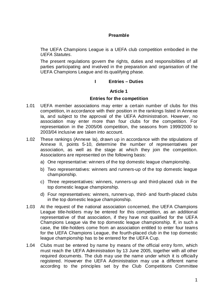# **Preamble**

The UEFA Champions League is a UEFA club competition embodied in the *UEFA Statutes*.

The present regulations govern the rights, duties and responsibilities of all parties participating and involved in the preparation and organisation of the UEFA Champions League and its qualifying phase.

# **I Entries – Duties**

## **Article 1**

## **Entries for the competition**

- 1.01 UEFA member associations may enter a certain number of clubs for this competition, in accordance with their position in the rankings listed in Annexe Ia, and subject to the approval of the UEFA Administration. However, no association may enter more than four clubs for the competition. For representation in the 2005/06 competition, the seasons from 1999/2000 to 2003/04 inclusive are taken into account.
- 1.02 These rankings (Annexe Ia), drawn up in accordance with the stipulations of Annexe II, points 5-10, determine the number of representatives per association, as well as the stage at which they join the competition. Associations are represented on the following basis:
	- a) One representative: winners of the top domestic league championship.
	- b) Two representatives: winners and runners-up of the top domestic league championship.
	- c) Three representatives: winners, runners-up and third-placed club in the top domestic league championship.
	- d) Four representatives: winners, runners-up, third- and fourth-placed clubs in the top domestic league championship.
- 1.03 At the request of the national association concerned, the UEFA Champions League title-holders may be entered for this competition, as an additional representative of that association, if they have not qualified for the UEFA Champions League via the top domestic league championship. If, in such a case, the title-holders come from an association entitled to enter four teams for the UEFA Champions League, the fourth-placed club in the top domestic league championship has to be entered for the UEFA Cup.
- 1.04 Clubs must be entered by name by means of the official entry form, which must reach the UEFA Administration by 13 June 2005, together with all other required documents. The club may use the name under which it is officially registered. However the UEFA Administration may use a different name according to the principles set by the Club Competitions Committee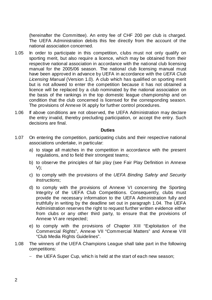(hereinafter the Committee). An entry fee of CHF 200 per club is charged. The UEFA Administration debits this fee directly from the account of the national association concerned.

- 1.05 In order to participate in this competition, clubs must not only qualify on sporting merit, but also require a licence, which may be obtained from their respective national association in accordance with the national club licensing manual for the 2005/06 season. The national club licensing manual must have been approved in advance by UEFA in accordance with the *UEFA Club Licensing Manual* (Version 1.0). A club which has qualified on sporting merit but is not allowed to enter the competition because it has not obtained a licence will be replaced by a club nominated by the national association on the basis of the rankings in the top domestic league championship and on condition that the club concerned is licensed for the corresponding season. The provisions of Annexe IX apply for further control procedures.
- 1.06 If above conditions are not observed, the UEFA Administration may declare the entry invalid, thereby precluding participation, or accept the entry. Such decisions are final.

## **Duties**

- 1.07 On entering the competition, participating clubs and their respective national associations undertake, in particular:
	- a) to stage all matches in the competition in accordance with the present regulations, and to field their strongest teams;
	- b) to observe the principles of fair play (see Fair Play Definition in Annexe V);
	- c) to comply with the provisions of the *UEFA Binding Safety and Security Instructions*;
	- d) to comply with the provisions of Annexe VI concerning the Sporting Integrity of the UEFA Club Competitions. Consequently, clubs must provide the necessary information to the UEFA Administration fully and truthfully in writing by the deadline set out in paragraph 1.04. The UEFA Administration reserves the right to request further written evidence either from clubs or any other third party, to ensure that the provisions of Annexe VI are respected;
	- e) to comply with the provisions of Chapter XIII "Exploitation of the Commercial Rights", Annexe VII "Commercial Matters" and Annexe VIII "Club Media Rights Guidelines".
- 1.08 The winners of the UEFA Champions League shall take part in the following competitions:
	- − the UEFA Super Cup, which is held at the start of each new season;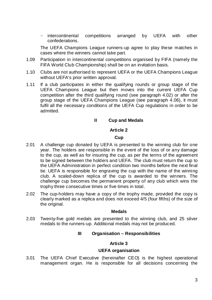− intercontinental competitions arranged by UEFA with other confederations.

The UEFA Champions League runners-up agree to play these matches in cases where the winners cannot take part.

- 1.09 Participation in intercontinental competitions organised by FIFA (namely the FIFA World Club Championship) shall be on an invitation basis.
- 1.10 Clubs are not authorised to represent UEFA or the UEFA Champions League without UEFA's prior written approval.
- 1.11 If a club participates in either the qualifying rounds or group stage of the UEFA Champions League but then moves into the current UEFA Cup competition after the third qualifying round (see paragraph 4.02) or after the group stage of the UEFA Champions League (see paragraph 4.06), it must fulfil all the necessary conditions of the UEFA Cup regulations in order to be admitted.

# **II Cup and Medals**

## **Article 2**

## **Cup**

- 2.01 A challenge cup donated by UEFA is presented to the winning club for one year. The holders are responsible in the event of the loss of or any damage to the cup, as well as for insuring the cup, as per the terms of the agreement to be signed between the holders and UEFA. The club must return the cup to the UEFA Administration in perfect condition two months before the next final tie. UEFA is responsible for engraving the cup with the name of the winning club. A scaled-down replica of the cup is awarded to the winners. The challenge cup becomes the permanent property of any club which wins the trophy three consecutive times or five times in total.
- 2.02 The cup-holders may have a copy of the trophy made, provided the copy is clearly marked as a replica and does not exceed 4/5 (four fifths) of the size of the original.

## **Medals**

2.03 Twenty-five gold medals are presented to the winning club, and 25 silver medals to the runners-up. Additional medals may not be produced.

# **III Organisation – Responsibilities**

# **Article 3**

## **UEFA organisation**

3.01 The UEFA Chief Executive (hereinafter CEO) is the highest operational management organ. He is responsible for all decisions concerning the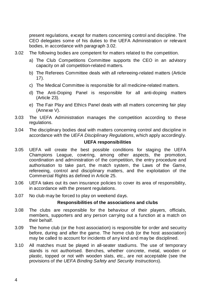present regulations, except for matters concerning control and discipline. The CEO delegates some of his duties to the UEFA Administration or relevant bodies, in accordance with paragraph 3.02.

- 3.02 The following bodies are competent for matters related to the competition.
	- a) The Club Competitions Committee supports the CEO in an advisory capacity on all competition-related matters.
	- b) The Referees Committee deals with all refereeing-related matters (Article 17).
	- c) The Medical Committee is responsible for all medicine-related matters.
	- d) The Anti-Doping Panel is responsible for all anti-doping matters (Article 23).
	- e) The Fair Play and Ethics Panel deals with all matters concerning fair play (Annexe V).
- 3.03 The UEFA Administration manages the competition according to these regulations.
- 3.04 The disciplinary bodies deal with matters concerning control and discipline in accordance with the *UEFA Disciplinary Regulations*, which apply accordingly.

# **UEFA responsibilities**

- 3.05 UEFA will create the best possible conditions for staging the UEFA Champions League, covering, among other aspects, the promotion, coordination and administration of the competition, the entry procedure and authorisation to take part, the match system, the Laws of the Game, refereeing, control and disciplinary matters, and the exploitation of the Commercial Rights as defined in Article 25.
- 3.06 UEFA takes out its own insurance policies to cover its area of responsibility, in accordance with the present regulations.
- 3.07 No club may be forced to play on weekend days.

# **Responsibilities of the associations and clubs**

- 3.08 The clubs are responsible for the behaviour of their players, officials, members, supporters and any person carrying out a function at a match on their behalf.
- 3.09 The home club (or the host association) is responsible for order and security before, during and after the game. The home club (or the host association) may be called to account for incidents of any kind and may be disciplined.
- 3.10 All matches must be played in all-seater stadiums. The use of temporary stands is not authorised. Benches, whether concrete, metal, wooden or plastic, topped or not with wooden slats, etc., are not acceptable (see the provisions of *the UEFA Binding Safety and Security Instructions*).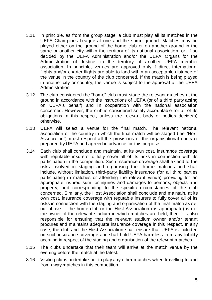- 3.11 In principle, as from the group stage, a club must play all its matches in the UEFA Champions League at one and the same ground. Matches may be played either on the ground of the home club or on another ground in the same or another city within the territory of its national association, or, if so decided by the UEFA Administration and/or the UEFA Organs for the Administration of Justice, in the territory of another UEFA member association. In principle, venues are approved only if direct international flights and/or charter flights are able to land within an acceptable distance of the venue in the country of the club concerned. If the match is being played in another city or country, the venue is subject to the approval of the UEFA Administration.
- 3.12 The club considered the "home" club must stage the relevant matches at the ground in accordance with the instructions of UEFA (or of a third party acting on UEFA's behalf) and in cooperation with the national association concerned. However, the club is considered solely accountable for all of its obligations in this respect, unless the relevant body or bodies decide(s) otherwise.
- 3.13 UEFA will select a venue for the final match. The relevant national association of the country in which the final match will be staged (the "Host Association") must respect all the provisions of the organisational contract prepared by UEFA and agreed in advance for this purpose.
- 3.14 Each club shall conclude and maintain, at its own cost, insurance coverage with reputable insurers to fully cover all of its risks in connection with its participation in the competition. Such insurance coverage shall extend to the risks involved in staging and organising their home matches and shall include, without limitation, third-party liability insurance (for all third parties participating in matches or attending the relevant venue) providing for an appropriate insured sum for injuries and damages to persons, objects and property, and corresponding to the specific circumstances of the club concerned. Similarly, the Host Association shall conclude and maintain, at its own cost, insurance coverage with reputable insurers to fully cover all of its risks in connection with the staging and organisation of the final match as set out above. If the home club or the Host Association (as appropriate) is not the owner of the relevant stadium in which matches are held, then it is also responsible for ensuring that the relevant stadium owner and/or tenant procures and maintains adequate insurance coverage in this respect. In any case, the club and the Host Association shall ensure that UEFA is included on such insurance coverage and shall hold UEFA harmless from any liability accruing in respect of the staging and organisation of the relevant matches.
- 3.15 The clubs undertake that their team will arrive at the match venue by the evening before the match at the latest.
- 3.16 Visiting clubs undertake not to play any other matches when travelling to and from away matches in this competition.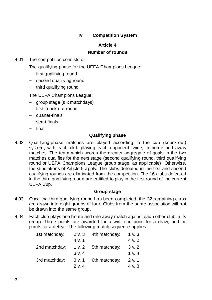# **IV Competition System**

# **Article 4**

# **Number of rounds**

4.01 The competition consists of:

The qualifying phase for the UEFA Champions League:

- − first qualifying round
- − second qualifying round
- − third qualifying round

The UEFA Champions League:

- − group stage (six matchdays)
- − first knock-out round
- − quarter-finals
- − semi-finals
- − final

# **Qualifying phase**

4.02 Qualifying-phase matches are played according to the cup (knock-out) system, with each club playing each opponent twice, in home and away matches. The team which scores the greater aggregate of goals in the two matches qualifies for the next stage (second qualifying round, third qualifying round or UEFA Champions League group stage, as applicable). Otherwise, the stipulations of Article 5 apply. The clubs defeated in the first and second qualifying rounds are eliminated from the competition. The 16 clubs defeated in the third qualifying round are entitled to play in the first round of the current UEFA Cup.

## **Group stage**

- 4.03 Once the third qualifying round has been completed, the 32 remaining clubs are drawn into eight groups of four. Clubs from the same association will not be drawn into the same group.
- 4.04 Each club plays one home and one away match against each other club in its group. Three points are awarded for a win, one point for a draw, and no points for a defeat. The following match sequence applies:

| 1st matchday: | 2 v. 3 | 4th matchday: | 1 v. 3 |
|---------------|--------|---------------|--------|
|               | 4 v. 1 |               | 4 v. 2 |
| 2nd matchday: | 1 v. 2 | 5th matchday: | 3 v. 2 |
|               | 3 v. 4 |               | 1 v. 4 |
| 3rd matchday: | 3 v. 1 | 6th matchday: | 2 v. 1 |
|               | 2 v. 4 |               | 4 v. 3 |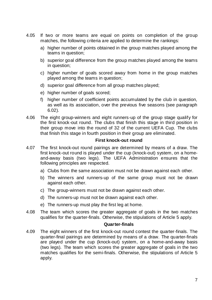- 4.05 If two or more teams are equal on points on completion of the group matches, the following criteria are applied to determine the rankings:
	- a) higher number of points obtained in the group matches played among the teams in question;
	- b) superior goal difference from the group matches played among the teams in question;
	- c) higher number of goals scored away from home in the group matches played among the teams in question;
	- d) superior goal difference from all group matches played;
	- e) higher number of goals scored;
	- f) higher number of coefficient points accumulated by the club in question, as well as its association, over the previous five seasons (see paragraph 6.02).
- 4.06 The eight group-winners and eight runners-up of the group stage qualify for the first knock-out round. The clubs that finish this stage in third position in their group move into the round of 32 of the current UEFA Cup. The clubs that finish this stage in fourth position in their group are eliminated.

## **First knock-out round**

- 4.07 The first knock-out round pairings are determined by means of a draw. The first knock-out round is played under the cup (knock-out) system, on a homeand-away basis (two legs). The UEFA Administration ensures that the following principles are respected.
	- a) Clubs from the same association must not be drawn against each other.
	- b) The winners and runners-up of the same group must not be drawn against each other.
	- c) The group-winners must not be drawn against each other.
	- d) The runners-up must not be drawn against each other.
	- e) The runners-up must play the first leg at home.
- 4.08 The team which scores the greater aggregate of goals in the two matches qualifies for the quarter-finals. Otherwise, the stipulations of Article 5 apply.

## **Quarter-finals**

4.09 The eight winners of the first knock-out round contest the quarter-finals. The quarter-final pairings are determined by means of a draw. The quarter-finals are played under the cup (knock-out) system, on a home-and-away basis (two legs). The team which scores the greater aggregate of goals in the two matches qualifies for the semi-finals. Otherwise, the stipulations of Article 5 apply.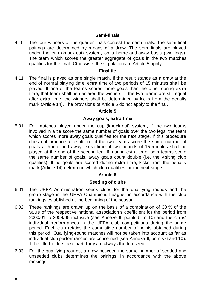# **Semi-finals**

4.10 The four winners of the quarter-finals contest the semi-finals. The semi-final pairings are determined by means of a draw. The semi-finals are played under the cup (knock-out) system, on a home-and-away basis (two legs). The team which scores the greater aggregate of goals in the two matches qualifies for the final. Otherwise, the stipulations of Article 5 apply.

## **Final tie**

4.11 The final is played as one single match. If the result stands as a draw at the end of normal playing time, extra time of two periods of 15 minutes shall be played. If one of the teams scores more goals than the other during extra time, that team shall be declared the winners. If the two teams are still equal after extra time, the winners shall be determined by kicks from the penalty mark (Article 14). The provisions of Article 5 do not apply to the final.

# **Article 5**

# **Away goals, extra time**

5.01 For matches played under the cup (knock-out) system, if the two teams involved in a tie score the same number of goals over the two legs, the team which scores more away goals qualifies for the next stage. If this procedure does not produce a result, i.e. if the two teams score the same number of goals at home and away, extra time of two periods of 15 minutes shall be played at the end of the second leg. If, during extra time, both teams score the same number of goals, away goals count double (i.e. the visiting club qualifies). If no goals are scored during extra time, kicks from the penalty mark (Article 14) determine which club qualifies for the next stage.

# **Article 6**

# **Seeding of clubs**

- 6.01 The UEFA Administration seeds clubs for the qualifying rounds and the group stage in the UEFA Champions League, in accordance with the club rankings established at the beginning of the season.
- 6.02 These rankings are drawn up on the basis of a combination of 33 % of the value of the respective national association's coefficient for the period from 2000/01 to 2004/05 inclusive (see Annexe II, points 5 to 10) and the clubs' individual performances in the UEFA club competitions during the same period. Each club retains the cumulative number of points obtained during this period. Qualifying-round matches will not be taken into account as far as individual club performances are concerned (see Annexe II, points 6 and 10). If the title-holders take part, they are always the top seed.
- 6.03 For the qualifying rounds, a draw between the same number of seeded and unseeded clubs determines the pairings, in accordance with the above rankings.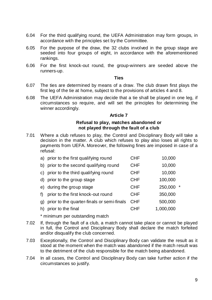- 6.04 For the third qualifying round, the UEFA Administration may form groups, in accordance with the principles set by the Committee.
- 6.05 For the purpose of the draw, the 32 clubs involved in the group stage are seeded into four groups of eight, in accordance with the aforementioned rankings.
- 6.06 For the first knock-out round, the group-winners are seeded above the runners-up.

#### **Ties**

- 6.07 The ties are determined by means of a draw. The club drawn first plays the first leg of the tie at home, subject to the provisions of articles 4 and 8.
- 6.08 The UEFA Administration may decide that a tie shall be played in one leg, if circumstances so require, and will set the principles for determining the winner accordingly.

## **Article 7**

# **Refusal to play, matches abandoned or not played through the fault of a club**

7.01 Where a club refuses to play, the Control and Disciplinary Body will take a decision in the matter. A club which refuses to play also loses all rights to payments from UEFA. Moreover, the following fines are imposed in case of a refusal:

|    | a) prior to the first qualifying round     | <b>CHF</b> | 10,000              |
|----|--------------------------------------------|------------|---------------------|
| b) | prior to the second qualifying round       | <b>CHF</b> | 10,000              |
|    | c) prior to the third qualifying round     | <b>CHF</b> | 10,000              |
|    | d) prior to the group stage                | <b>CHF</b> | 100,000             |
|    | e) during the group stage                  | <b>CHF</b> | 250,000<br>$^\star$ |
| f  | prior to the first knock-out round         | <b>CHF</b> | 350,000             |
| g) | prior to the quarter-finals or semi-finals | <b>CHF</b> | 500,000             |
| h) | prior to the final                         | CHF        | 1,000,000           |
|    |                                            |            |                     |

\* minimum per outstanding match

- 7.02 If, through the fault of a club, a match cannot take place or cannot be played in full, the Control and Disciplinary Body shall declare the match forfeited and/or disqualify the club concerned.
- 7.03 Exceptionally, the Control and Disciplinary Body can validate the result as it stood at the moment when the match was abandoned if the match result was to the detriment of the club responsible for the match being abandoned.
- 7.04 In all cases, the Control and Disciplinary Body can take further action if the circumstances so justify.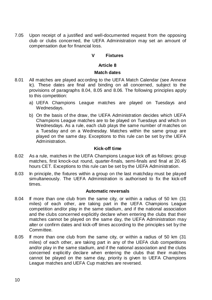7.05 Upon receipt of a justified and well-documented request from the opposing club or clubs concerned, the UEFA Administration may set an amount of compensation due for financial loss.

# **V Fixtures**

# **Article 8**

## **Match dates**

- 8.01 All matches are played according to the UEFA Match Calendar (see Annexe Ic). These dates are final and binding on all concerned, subject to the provisions of paragraphs 8.04, 8.05 and 8.06. The following principles apply to this competition:
	- a) UEFA Champions League matches are played on Tuesdays and Wednesdays.
	- b) On the basis of the draw, the UEFA Administration decides which UEFA Champions League matches are to be played on Tuesdays and which on Wednesdays. As a rule, each club plays the same number of matches on a Tuesday and on a Wednesday. Matches within the same group are played on the same day. Exceptions to this rule can be set by the UEFA Administration.

## **Kick-off time**

- 8.02 As a rule, matches in the UEFA Champions League kick off as follows: group matches, first knock-out round, quarter-finals, semi-finals and final at 20.45 hours CET. Exceptions to this rule can be set by the UEFA Administration.
- 8.03 In principle, the fixtures within a group on the last matchday must be played simultaneously. The UEFA Administration is authorised to fix the kick-off times.

## **Automatic reversals**

- 8.04 If more than one club from the same city, or within a radius of 50 km (31 miles) of each other, are taking part in the UEFA Champions League competition and/or play in the same stadium, and if the national association and the clubs concerned explicitly declare when entering the clubs that their matches cannot be played on the same day, the UEFA Administration may alter or confirm dates and kick-off times according to the principles set by the Committee.
- 8.05 If more than one club from the same city, or within a radius of 50 km (31 miles) of each other, are taking part in any of the UEFA club competitions and/or play in the same stadium, and if the national association and the clubs concerned explicitly declare when entering the clubs that their matches cannot be played on the same day, priority is given to UEFA Champions League matches and UEFA Cup matches are reversed.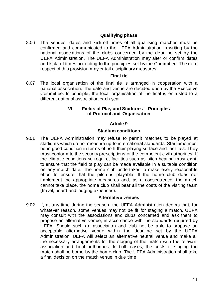# **Qualifying phase**

8.06 The venues, dates and kick-off times of all qualifying matches must be confirmed and communicated to the UEFA Administration in writing by the national associations of the clubs concerned by the deadline set by the UEFA Administration. The UEFA Administration may alter or confirm dates and kick-off times according to the principles set by the Committee. The nonrespect of this provision may entail disciplinary measures.

## **Final tie**

8.07 The local organisation of the final tie is arranged in cooperation with a national association. The date and venue are decided upon by the Executive Committee. In principle, the local organisation of the final is entrusted to a different national association each year.

## **VI Fields of Play and Stadiums – Principles of Protocol and Organisation**

## **Article 9**

#### **Stadium conditions**

9.01 The UEFA Administration may refuse to permit matches to be played at stadiums which do not measure up to international standards. Stadiums must be in good condition in terms of both their playing surface and facilities. They must conform to the security prescriptions of the competent civil authorities. If the climatic conditions so require, facilities such as pitch heating must exist, to ensure that the field of play can be made available in a suitable condition on any match date. The home club undertakes to make every reasonable effort to ensure that the pitch is playable. If the home club does not implement the appropriate measures and, as a consequence, the match cannot take place, the home club shall bear all the costs of the visiting team (travel, board and lodging expenses).

## **Alternative venues**

9.02 If, at any time during the season, the UEFA Administration deems that, for whatever reason, some venues may not be fit for staging a match, UEFA may consult with the associations and clubs concerned and ask them to propose an alternative venue, in accordance with the standards required by UEFA. Should such an association and club not be able to propose an acceptable alternative venue within the deadline set by the UEFA Administration, UEFA will select an alternative neutral venue and make all the necessary arrangements for the staging of the match with the relevant association and local authorities. In both cases, the costs of staging the match shall be borne by the home club. The UEFA Administration shall take a final decision on the match venue in due time.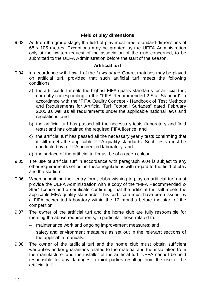# **Field of play dimensions**

9.03 As from the group stage, the field of play must meet standard dimensions of 68 x 105 metres. Exceptions may be granted by the UEFA Administration only at the written request of the association of the club concerned, to be submitted to the UEFA Administration before the start of the season.

## **Artificial turf**

- 9.04 In accordance with Law 1 of the *Laws of the Game*, matches may be played on artificial turf, provided that such artificial turf meets the following conditions:
	- a) the artificial turf meets the highest FIFA quality standards for artificial turf, currently corresponding to the "FIFA Recommended 2-Star Standard" in accordance with the "FIFA Quality Concept - Handbook of Test Methods and Requirements for Artificial Turf Football Surfaces" dated February 2005 as well as all requirements under the applicable national laws and regulations; and
	- b) the artificial turf has passed all the necessary tests (laboratory and field tests) and has obtained the required FIFA licence; and
	- c) the artificial turf has passed all the necessary yearly tests confirming that it still meets the applicable FIFA quality standards. Such tests must be conducted by a FIFA accredited laboratory; and
	- d) the surface of the artificial turf must be of a green colour.
- 9.05 The use of artificial turf in accordance with paragraph 9.04 is subject to any other requirements set out in these regulations with regard to the field of play and the stadium.
- 9.06 When submitting their entry form, clubs wishing to play on artificial turf must provide the UEFA Administration with a copy of the "FIFA Recommended 2- Star" licence and a certificate confirming that the artificial turf still meets the applicable FIFA quality standards. This certificate must have been issued by a FIFA accredited laboratory within the 12 months before the start of the competition.
- 9.07 The owner of the artificial turf and the home club are fully responsible for meeting the above requirements, in particular those related to:
	- − maintenance work and ongoing improvement measures; and
	- safety and environment measures as set out in the relevant sections of the applicable manuals.
- 9.08 The owner of the artificial turf and the home club must obtain sufficient warranties and/or guarantees related to the material and the installation from the manufacturer and the installer of the artificial turf. UEFA cannot be held responsible for any damages to third parties resulting from the use of the artificial turf.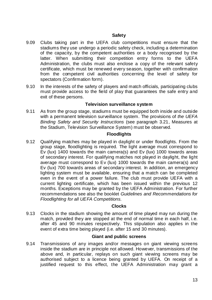- 9.09 Clubs taking part in the UEFA club competitions must ensure that the stadiums they use undergo a periodic safety check, including a determination of the capacity, by the competent authorities or a body recognised by the latter. When submitting their competition entry forms to the UEFA Administration, the clubs must also enclose a copy of the relevant safety certificate, which must be renewed every season, together with confirmation from the competent civil authorities concerning the level of safety for spectators (Confirmation form).
- 9.10 In the interests of the safety of players and match officials, participating clubs must provide access to the field of play that guarantees the safe entry and exit of these persons.

# **Television surveillance system**

9.11 As from the group stage, stadiums must be equipped both inside and outside with a permanent television surveillance system. The provisions of *the UEFA Binding Safety and Security Instructions* (see paragraph 3.21, Measures at the Stadium, Television Surveillance System) must be observed.

# **Floodlights**

9.12 Qualifying matches may be played in daylight or under floodlights. From the group stage, floodlighting is required. The light average must correspond to Ev (lux) 1400 towards the main camera(s) and Ev (lux) 1000 towards areas of secondary interest. For qualifying matches not played in daylight, the light average must correspond to Ev (lux) 1000 towards the main camera(s) and Ev (lux) 700 towards areas of secondary interest. In addition, an emergency lighting system must be available, ensuring that a match can be completed even in the event of a power failure. The club must provide UEFA with a current lighting certificate, which has been issued within the previous 12 months. Exceptions may be granted by the UEFA Administration. For further recommendations see also the booklet *Guidelines and Recommendations for Floodlighting for all UEFA Competitions*.

# **Clocks**

9.13 Clocks in the stadium showing the amount of time played may run during the match, provided they are stopped at the end of normal time in each half, i.e. after 45 and 90 minutes respectively. This stipulation also applies in the event of extra time being played (i.e. after 15 and 30 minutes).

# **Giant and public screens**

9.14 Transmissions of any images and/or messages on giant viewing screens inside the stadium are in principle not allowed. However, transmissions of the above and, in particular, replays on such giant viewing screens may be authorised subject to a licence being granted by UEFA. On receipt of a justified request to this effect, the UEFA Administration may grant a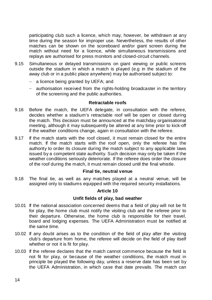participating club such a licence, which may, however, be withdrawn at any time during the season for improper use. Nevertheless, the results of other matches can be shown on the scoreboard and/or giant screen during the match without need for a licence, while simultaneous transmissions and replays are authorised for press monitors and closed-circuit channels.

- 9.15 Simultaneous or delayed transmissions on giant viewing or public screens outside the stadium in which a match is played (e.g in the stadium of the away club or in a public place anywhere) may be authorised subject to:
	- − a licence being granted by UEFA; and
	- − authorisation received from the rights-holding broadcaster in the territory of the screening and the public authorities.

# **Retractable roofs**

- 9.16 Before the match, the UEFA delegate, in consultation with the referee, decides whether a stadium's retractable roof will be open or closed during the match. This decision must be announced at the matchday organisational meeting, although it may subsequently be altered at any time prior to kick-off if the weather conditions change, again in consultation with the referee.
- 9.17 If the match starts with the roof closed, it must remain closed for the entire match. If the match starts with the roof open, only the referee has the authority to order its closure during the match subject to any applicable laws issued by a competent state authority. Such decision may only be taken if the weather conditions seriously deteriorate. If the referee does order the closure of the roof during the match, it must remain closed until the final whistle.

# **Final tie, neutral venue**

9.18 The final tie, as well as any matches played at a neutral venue, will be assigned only to stadiums equipped with the required security installations.

# **Article 10**

# **Unfit fields of play, bad weather**

- 10.01 If the national association concerned deems that a field of play will not be fit for play, the home club must notify the visiting club and the referee prior to their departure. Otherwise, the home club is responsible for their travel, board and lodging expenses. The UEFA Administration must be notified at the same time.
- 10.02 If any doubt arises as to the condition of the field of play after the visiting club's departure from home, the referee will decide on the field of play itself whether or not it is fit for play.
- 10.03 If the referee declares that the match cannot commence because the field is not fit for play, or because of the weather conditions, the match must in principle be played the following day, unless a reserve date has been set by the UEFA Administration, in which case that date prevails. The match can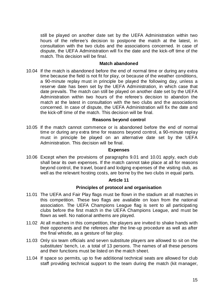still be played on another date set by the UEFA Administration within two hours of the referee's decision to postpone the match at the latest, in consultation with the two clubs and the associations concerned. In case of dispute, the UEFA Administration will fix the date and the kick-off time of the match. This decision will be final.

## **Match abandoned**

10.04 If the match is abandoned before the end of normal time or during any extra time because the field is not fit for play, or because of the weather conditions, a 90-minute replay must in principle be played the following day, unless a reserve date has been set by the UEFA Administration, in which case that date prevails. The match can still be played on another date set by the UEFA Administration within two hours of the referee's decision to abandon the match at the latest in consultation with the two clubs and the associations concerned. In case of dispute, the UEFA Administration will fix the date and the kick-off time of the match. This decision will be final.

## **Reasons beyond control**

10.05 If the match cannot commence or is abandoned before the end of normal time or during any extra time for reasons beyond control, a 90-minute replay must in principle be played on an alternative date set by the UEFA Administration. This decision will be final.

#### **Expenses**

10.06 Except when the provisions of paragraphs 9.01 and 10.01 apply, each club shall bear its own expenses. If the match cannot take place at all for reasons beyond control, the travel, board and lodging expenses of the visiting club, as well as the relevant hosting costs, are borne by the two clubs in equal parts.

#### **Article 11**

## **Principles of protocol and organisation**

- 11.01 The UEFA and Fair Play flags must be flown in the stadium at all matches in this competition. These two flags are available on loan from the national association. The UEFA Champions League flag is sent to all participating clubs before the first match in the UEFA Champions League, and must be flown as well. No national anthems are played.
- 11.02 At all matches in this competition, the players are invited to shake hands with their opponents and the referees after the line-up procedure as well as after the final whistle, as a gesture of fair play.
- 11.03 Only six team officials and seven substitute players are allowed to sit on the substitutes' bench, i.e. a total of 13 persons. The names of all these persons and their functions must be listed on the match sheet.
- 11.04 If space so permits, up to five additional technical seats are allowed for club staff providing technical support to the team during the match (kit manager,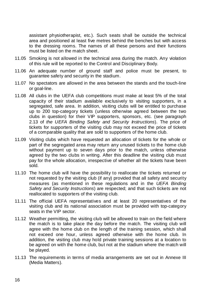assistant physiotherapist, etc.). Such seats shall be outside the technical area and positioned at least five metres behind the benches but with access to the dressing rooms. The names of all these persons and their functions must be listed on the match sheet.

- 11.05 Smoking is not allowed in the technical area during the match. Any violation of this rule will be reported to the Control and Disciplinary Body.
- 11.06 An adequate number of ground staff and police must be present, to guarantee safety and security in the stadium.
- 11.07 No spectators are allowed in the area between the stands and the touch-line or goal-line.
- 11.08 All clubs in the UEFA club competitions must make at least 5% of the total capacity of their stadium available exclusively to visiting supporters, in a segregated, safe area. In addition, visiting clubs will be entitled to purchase up to 200 top-category tickets (unless otherwise agreed between the two clubs in question) for their VIP supporters, sponsors, etc. (see paragraph 2.13 of *the UEFA Binding Safety and Security Instructions*). The price of tickets for supporters of the visiting club may not exceed the price of tickets of a comparable quality that are sold to supporters of the home club.
- 11.09 Visiting clubs which have requested an allocation of tickets for the whole or part of the segregated area may return any unused tickets to the home club without payment up to seven days prior to the match, unless otherwise agreed by the two clubs in writing. After this deadline the visiting club must pay for the whole allocation, irrespective of whether all the tickets have been sold.
- 11.10 The home club will have the possibility to reallocate the tickets returned or not requested by the visiting club (if any) provided that all safety and security measures (as mentioned in these regulations and in the *UEFA Binding Safety and Security Instructions*) are respected; and that such tickets are not reallocated to supporters of the visiting club.
- 11.11 The official UEFA representatives and at least 20 representatives of the visiting club and its national association must be provided with top-category seats in the VIP sector.
- 11.12 Weather permitting, the visiting club will be allowed to train on the field where the match is to take place the day before the match. The visiting club will agree with the home club on the length of the training session, which shall not exceed one hour, unless agreed otherwise with the home club. In addition, the visiting club may hold private training sessions at a location to be agreed on with the home club, but not at the stadium where the match will be played.
- 11.13 The requirements in terms of media arrangements are set out in Annexe III (Media Matters).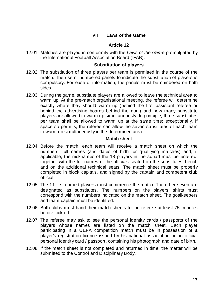# **VII Laws of the Game**

## **Article 12**

12.01 Matches are played in conformity with the *Laws of the Game* promulgated by the International Football Association Board (IFAB).

## **Substitution of players**

- 12.02 The substitution of three players per team is permitted in the course of the match. The use of numbered panels to indicate the substitution of players is compulsory. For ease of information, the panels must be numbered on both sides.
- 12.03 During the game, substitute players are allowed to leave the technical area to warm up. At the pre-match organisational meeting, the referee will determine exactly where they should warm up (behind the first assistant referee or behind the advertising boards behind the goal) and how many substitute players are allowed to warm up simultaneously. In principle, three substitutes per team shall be allowed to warm up at the same time; exceptionally, if space so permits, the referee can allow the seven substitutes of each team to warm up simultaneously in the determined area.

## **Match sheet**

- 12.04 Before the match, each team will receive a match sheet on which the numbers, full names (and dates of birth for qualifying matches) and, if applicable, the nicknames of the 18 players in the squad must be entered, together with the full names of the officials seated on the substitutes' bench and on the additional technical seats. The match sheet must be properly completed in block capitals, and signed by the captain and competent club official.
- 12.05 The 11 first-named players must commence the match. The other seven are designated as substitutes. The numbers on the players' shirts must correspond with the numbers indicated on the match sheet. The goalkeepers and team captain must be identified.
- 12.06 Both clubs must hand their match sheets to the referee at least 75 minutes before kick-off.
- 12.07 The referee may ask to see the personal identity cards / passports of the players whose names are listed on the match sheet. Each player participating in a UEFA competition match must be in possession of a player's registration licence issued by his national association or an official personal identity card / passport, containing his photograph and date of birth.
- 12.08 If the match sheet is not completed and returned in time, the matter will be submitted to the Control and Disciplinary Body.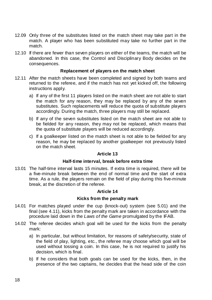- 12.09 Only three of the substitutes listed on the match sheet may take part in the match. A player who has been substituted may take no further part in the match.
- 12.10 If there are fewer than seven players on either of the teams, the match will be abandoned. In this case, the Control and Disciplinary Body decides on the consequences.

# **Replacement of players on the match sheet**

- 12.11 After the match sheets have been completed and signed by both teams and returned to the referee, and if the match has not yet kicked off, the following instructions apply.
	- a) If any of the first 11 players listed on the match sheet are not able to start the match for any reason, they may be replaced by any of the seven substitutes. Such replacements will reduce the quota of substitute players accordingly. During the match, three players may still be replaced.
	- b) If any of the seven substitutes listed on the match sheet are not able to be fielded for any reason, they may not be replaced, which means that the quota of substitute players will be reduced accordingly.
	- c) If a goalkeeper listed on the match sheet is not able to be fielded for any reason, he may be replaced by another goalkeeper not previously listed on the match sheet.

# **Article 13**

# **Half-time interval, break before extra time**

13.01 The half-time interval lasts 15 minutes. If extra time is required, there will be a five-minute break between the end of normal time and the start of extra time. As a rule, the players remain on the field of play during this five-minute break, at the discretion of the referee.

# **Article 14**

# **Kicks from the penalty mark**

- 14.01 For matches played under the cup (knock-out) system (see 5.01) and the final (see 4.11), kicks from the penalty mark are taken in accordance with the procedure laid down in the *Laws of the Game* promulgated by the IFAB.
- 14.02 The referee decides which goal will be used for the kicks from the penalty mark:
	- a) In particular, but without limitation, for reasons of safety/security, state of the field of play, lighting, etc., the referee may choose which goal will be used without tossing a coin. In this case, he is not required to justify his decision, which is final.
	- b) If he considers that both goals can be used for the kicks, then, in the presence of the two captains, he decides that the head side of the coin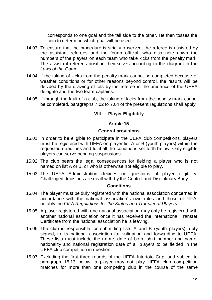corresponds to one goal and the tail side to the other. He then tosses the coin to determine which goal will be used.

- 14.03 To ensure that the procedure is strictly observed, the referee is assisted by the assistant referees and the fourth official, who also note down the numbers of the players on each team who take kicks from the penalty mark. The assistant referees position themselves according to the diagram in the *Laws of the Game*.
- 14.04 If the taking of kicks from the penalty mark cannot be completed because of weather conditions or for other reasons beyond control, the results will be decided by the drawing of lots by the referee in the presence of the UEFA delegate and the two team captains.
- 14.05 If through the fault of a club, the taking of kicks from the penalty mark cannot be completed, paragraphs 7.02 to 7.04 of the present regulations shall apply.

# **VIII Player Eligibility**

# **Article 15**

# **General provisions**

- 15.01 In order to be eligible to participate in the UEFA club competitions, players must be registered with UEFA on player list A or B (youth players) within the requested deadlines and fulfil all the conditions set forth below. Only eligible players can serve pending suspensions.
- 15.02 The club bears the legal consequences for fielding a player who is not named on list A or B, or who is otherwise not eligible to play.
- 15.03 The UEFA Administration decides on questions of player eligibility. Challenged decisions are dealt with by the Control and Disciplinary Body.

## **Conditions**

- 15.04 The player must be duly registered with the national association concerned in accordance with the national association's own rules and those of FIFA, notably the *FIFA Regulations for the Status and Transfer of Players*.
- 15.05 A player registered with one national association may only be registered with another national association once it has received the International Transfer Certificate from the national association he is leaving.
- 15.06 The club is responsible for submitting lists A and B (youth players), duly signed, to its national association for validation and forwarding to UEFA. These lists must include the name, date of birth, shirt number and name, nationality and national registration date of all players to be fielded in the UEFA club competition in question.
- 15.07 Excluding the first three rounds of the UEFA Intertoto Cup, and subject to paragraph 15.13 below, a player may not play UEFA club competition matches for more than one competing club in the course of the same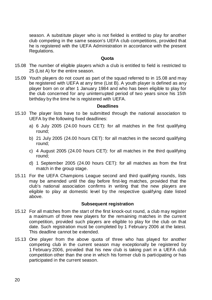season. A substitute player who is not fielded is entitled to play for another club competing in the same season's UEFA club competitions, provided that he is registered with the UEFA Administration in accordance with the present Regulations.

# **Quota**

- 15.08 The number of eligible players which a club is entitled to field is restricted to 25 (List A) for the entire season.
- 15.09 Youth players do not count as part of the squad referred to in 15.08 and may be registered with UEFA at any time (List B). A youth player is defined as any player born on or after 1 January 1984 and who has been eligible to play for the club concerned for any uninterrupted period of two years since his 15th birthday by the time he is registered with UEFA.

# **Deadlines**

- 15.10 The player lists have to be submitted through the national association to UEFA by the following fixed deadlines:
	- a) 6 July 2005 (24.00 hours CET): for all matches in the first qualifying round;
	- b) 21 July 2005 (24.00 hours CET): for all matches in the second qualifying round;
	- c) 4 August 2005 (24.00 hours CET): for all matches in the third qualifying round;
	- d) 1 September 2005 (24.00 hours CET): for all matches as from the first match in the group stage.
- 15.11 For the UEFA Champions League second and third qualifying rounds, lists may be amended until the day before first-leg matches, provided that the club's national association confirms in writing that the new players are eligible to play at domestic level by the respective qualifying date listed above.

# **Subsequent registration**

- 15.12 For all matches from the start of the first knock-out round, a club may register a maximum of three new players for the remaining matches in the current competition, provided such players are eligible to play for the club on that date. Such registration must be completed by 1 February 2006 at the latest. This deadline cannot be extended.
- 15.13 One player from the above quota of three who has played for another competing club in the current season may exceptionally be registered by 1 February 2006, provided that his new club is taking part in a UEFA club competition other than the one in which his former club is participating or has participated in the current season.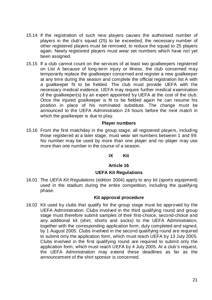- 15.14 If the registration of such new players causes the authorised number of players in the club's squad (25) to be exceeded, the necessary number of other registered players must be removed, to reduce the squad to 25 players again. Newly registered players must wear set numbers which have not yet been assigned.
- 15.15 If a club cannot count on the services of at least two goalkeepers registered on List A because of long-term injury or illness, the club concerned may temporarily replace the goalkeeper concerned and register a new goalkeeper at any time during the season and complete the official registration list A with a goalkeeper fit to be fielded. The club must provide UEFA with the necessary medical evidence. UEFA may require further medical examination of the goalkeeper(s) by an expert appointed by UEFA at the cost of the club. Once the injured goalkeeper is fit to be fielded again he can resume his position in place of his nominated substitute. The change must be announced to the UEFA Administration 24 hours before the next match in which the goalkeeper is due to play.

## **Player numbers**

15.16 From the first matchday in the group stage, all registered players, including those registered at a later stage, must wear set numbers between 1 and 99. No number may be used by more than one player and no player may use more than one number in the course of a season.

# **IX Kit**

# **Article 16**

# **UEFA Kit Regulations**

16.01 The *UEFA Kit Regulations* (edition 2004) apply to any kit (sports equipment) used in the stadium during the entire competition, including the qualifying phase.

# **Kit approval procedure**

16.02 Kit used by clubs that qualify for the group stage must be approved by the UEFA Administration. Clubs involved in the third qualifying round and group stage must therefore submit samples of their first-choice, second-choice and any additional kit (shirt, shorts and socks) to the UEFA Administration, together with the corresponding application form, duly completed and signed, by 1 August 2005. Clubs involved in the second qualifying round are required to submit only the application form, which must reach UEFA by 13 July 2005. Clubs involved in the first qualifying round are required to submit only the application form, which must reach UEFA by 4 July 2005. At a club's request, the UEFA Administration may extend these deadlines as far as the announcement of the shirt sponsor is concerned.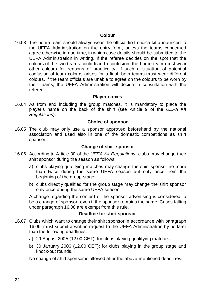# **Colour**

16.03 The home team should always wear the official first-choice kit announced to the UEFA Administration on the entry form, unless the teams concerned agree otherwise in due time, in which case details should be submitted to the UEFA Administration in writing. If the referee decides on the spot that the colours of the two teams could lead to confusion, the home team must wear other colours for reasons of practicality. If such a situation of potential confusion of team colours arises for a final, both teams must wear different colours. If the team officials are unable to agree on the colours to be worn by their teams, the UEFA Administration will decide in consultation with the referee.

# **Player names**

16.04 As from and including the group matches, it is mandatory to place the player's name on the back of the shirt (see Article 9 of the *UEFA Kit Regulations*).

# **Choice of sponsor**

16.05 The club may only use a sponsor approved beforehand by the national association and used also in one of the domestic competitions as shirt sponsor.

## **Change of shirt sponsor**

- 16.06 According to Article 30 of the *UEFA Kit Regulations*, clubs may change their shirt sponsor during the season as follows:
	- a) clubs playing qualifying matches may change the shirt sponsor no more than twice during the same UEFA season but only once from the beginning of the group stage;
	- b) clubs directly qualified for the group stage may change the shirt sponsor only once during the same UEFA season.

A change regarding the content of the sponsor advertising is considered to be a change of sponsor, even if the sponsor remains the same. Cases falling under paragraph 16.08 are exempt from this rule.

## **Deadline for shirt sponsor**

- 16.07 Clubs which want to change their shirt sponsor in accordance with paragraph 16.06, must submit a written request to the UEFA Administration by no later than the following deadlines:
	- a) 29 August 2005 (12.00 CET): for clubs playing qualifying matches.
	- b) 30 January 2006 (12.00 CET): for clubs playing in the group stage and knock-out rounds.

No change of shirt sponsor is allowed after the above-mentioned deadlines.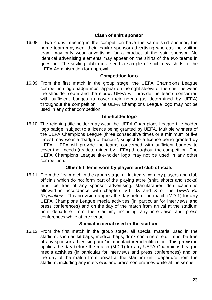# **Clash of shirt sponsor**

16.08 If two clubs meeting in the competition have the same shirt sponsor, the home team may wear their regular sponsor advertising whereas the visiting team may only wear advertising for a product of the said sponsor. No identical advertising elements may appear on the shirts of the two teams in question. The visiting club must send a sample of such new shirts to the UEFA Administration for approval.

## **Competition logo**

16.09 From the first match in the group stage, the UEFA Champions League competition logo badge must appear on the right sleeve of the shirt, between the shoulder seam and the elbow. UEFA will provide the teams concerned with sufficient badges to cover their needs (as determined by UEFA) throughout the competition. The UEFA Champions League logo may not be used in any other competition.

## **Title-holder logo**

16.10 The reigning title-holder may wear the UEFA Champions League title-holder logo badge, subject to a licence being granted by UEFA. Multiple winners of the UEFA Champions League (three consecutive times or a minimum of five times) may wear a "badge of honour", subject to a licence being granted by UEFA. UEFA will provide the teams concerned with sufficient badges to cover their needs (as determined by UEFA) throughout the competition. The UEFA Champions League title-holder logo may not be used in any other competition.

# **Other kit items worn by players and club officials**

16.11 From the first match in the group stage, all kit items worn by players and club officials which do not form part of the playing attire (shirt, shorts and socks) must be free of any sponsor advertising. Manufacturer identification is allowed in accordance with chapters VIII, IX and X of the *UEFA Kit Regulations*. This provision applies the day before the match (MD-1) for any UEFA Champions League media activities (in particular for interviews and press conferences) and on the day of the match from arrival at the stadium until departure from the stadium, including any interviews and press conferences while at the venue.

## **Special material used in the stadium**

16.12 From the first match in the group stage, all special material used in the stadium, such as kit bags, medical bags, drink containers, etc., must be free of any sponsor advertising and/or manufacturer identification. This provision applies the day before the match (MD-1) for any UEFA Champions League media activities (in particular for interviews and press conferences) and on the day of the match from arrival at the stadium until departure from the stadium, including any interviews and press conferences while at the venue.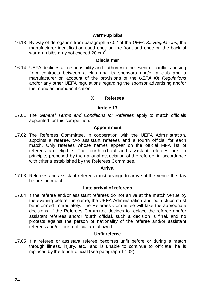# **Warm-up bibs**

16.13 By way of derogation from paragraph 57.02 of the *UEFA Kit Regulations*, the manufacturer identification used once on the front and once on the back of warm-up bibs may not exceed 20  $\textsf{cm}^2$ .

## **Disclaimer**

16.14 UEFA declines all responsibility and authority in the event of conflicts arising from contracts between a club and its sponsors and/or a club and a manufacturer on account of the provisions of the *UEFA Kit Regulations*  and/or any other UEFA regulations regarding the sponsor advertising and/or the manufacturer identification.

# **X Referees**

# **Article 17**

17.01 The *General Terms and Conditions for Referees* apply to match officials appointed for this competition.

## **Appointment**

17.02 The Referees Committee, in cooperation with the UEFA Administration, appoints a referee, two assistant referees and a fourth official for each match. Only referees whose names appear on the official FIFA list of referees are eligible. The fourth official and assistant referees are, in principle, proposed by the national association of the referee, in accordance with criteria established by the Referees Committee.

## **Arrival**

17.03 Referees and assistant referees must arrange to arrive at the venue the day before the match.

# **Late arrival of referees**

17.04 If the referee and/or assistant referees do not arrive at the match venue by the evening before the game, the UEFA Administration and both clubs must be informed immediately. The Referees Committee will take the appropriate decisions. If the Referees Committee decides to replace the referee and/or assistant referees and/or fourth official, such a decision is final, and no protests against the person or nationality of the referee and/or assistant referees and/or fourth official are allowed.

## **Unfit referee**

17.05 If a referee or assistant referee becomes unfit before or during a match through illness, injury, etc., and is unable to continue to officiate, he is replaced by the fourth official (see paragraph 17.02).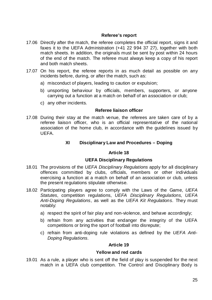# **Referee's report**

- 17.06 Directly after the match, the referee completes the official report, signs it and faxes it to the UEFA Administration (+41 22 994 37 27), together with both match sheets. In addition, the originals must be sent by post within 24 hours of the end of the match. The referee must always keep a copy of his report and both match sheets.
- 17.07 On his report, the referee reports in as much detail as possible on any incidents before, during, or after the match, such as:
	- a) misconduct of players, leading to caution or expulsion;
	- b) unsporting behaviour by officials, members, supporters, or anyone carrying out a function at a match on behalf of an association or club;
	- c) any other incidents.

## **Referee liaison officer**

17.08 During their stay at the match venue, the referees are taken care of by a referee liaison officer, who is an official representative of the national association of the home club, in accordance with the guidelines issued by UEFA.

# **XI Disciplinary Law and Procedures – Doping**

## **Article 18**

# **UEFA Disciplinary Regulations**

- 18.01 The provisions of the *UEFA Disciplinary Regulations* apply for all disciplinary offences committed by clubs, officials, members or other individuals exercising a function at a match on behalf of an association or club, unless the present regulations stipulate otherwise.
- 18.02 Participating players agree to comply with the Laws of the Game, *UEFA Statutes*, competition regulations, *UEFA Disciplinary Regulations*, *UEFA Anti-Doping Regulations*, as well as the *UEFA Kit Regulations*. They must notably:
	- a) respect the spirit of fair play and non-violence, and behave accordingly;
	- b) refrain from any activities that endanger the integrity of the UEFA competitions or bring the sport of football into disrepute;
	- c) refrain from anti-doping rule violations as defined by the *UEFA Anti-Doping Regulations*.

## **Article 19**

## **Yellow and red cards**

19.01 As a rule, a player who is sent off the field of play is suspended for the next match in a UEFA club competition. The Control and Disciplinary Body is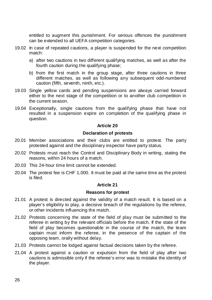entitled to augment this punishment. For serious offences the punishment can be extended to all UEFA competition categories.

- 19.02 In case of repeated cautions, a player is suspended for the next competition match:
	- a) after two cautions in two different qualifying matches, as well as after the fourth caution during the qualifying phase;
	- b) from the first match in the group stage, after three cautions in three different matches, as well as following any subsequent odd-numbered caution (fifth, seventh, ninth, etc.).
- 19.03 Single yellow cards and pending suspensions are always carried forward either to the next stage of the competition or to another club competition in the current season.
- 19.04 Exceptionally, single cautions from the qualifying phase that have not resulted in a suspension expire on completion of the qualifying phase in question.

# **Article 20**

# **Declaration of protests**

- 20.01 Member associations and their clubs are entitled to protest. The party protested against and the disciplinary inspector have party status.
- 20.02 Protests must reach the Control and Disciplinary Body in writing, stating the reasons, within 24 hours of a match.
- 20.03 This 24-hour time limit cannot be extended.
- 20.04 The protest fee is CHF 1,000. It must be paid at the same time as the protest is filed.

# **Article 21**

# **Reasons for protest**

- 21.01 A protest is directed against the validity of a match result. It is based on a player's eligibility to play, a decisive breach of the regulations by the referee, or other incidents influencing the match.
- 21.02 Protests concerning the state of the field of play must be submitted to the referee in writing by the relevant officials before the match. If the state of the field of play becomes questionable in the course of the match, the team captain must inform the referee, in the presence of the captain of the opposing team, orally without delay.
- 21.03 Protests cannot be lodged against factual decisions taken by the referee.
- 21.04 A protest against a caution or expulsion from the field of play after two cautions is admissible only if the referee's error was to mistake the identity of the player.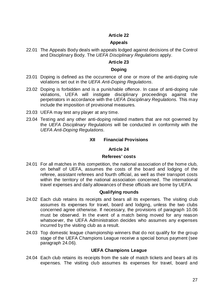# **Article 22**

# **Appeals**

22.01 The Appeals Body deals with appeals lodged against decisions of the Control and Disciplinary Body. The *UEFA Disciplinary Regulations* apply.

# **Article 23**

## **Doping**

- 23.01 Doping is defined as the occurrence of one or more of the anti-doping rule violations set out in the *UEFA Anti-Doping Regulations*.
- 23.02 Doping is forbidden and is a punishable offence. In case of anti-doping rule violations, UEFA will instigate disciplinary proceedings against the perpetrators in accordance with the *UEFA Disciplinary Regulations*. This may include the imposition of provisional measures.
- 23.03 UEFA may test any player at any time.
- 23.04 Testing and any other anti-doping related matters that are not governed by the *UEFA Disciplinary Regulations* will be conducted in conformity with the *UEFA Anti-Doping Regulations*.

# **XII Financial Provisions**

## **Article 24**

## **Referees' costs**

24.01 For all matches in this competition, the national association of the home club, on behalf of UEFA, assumes the costs of the board and lodging of the referee, assistant referees and fourth official, as well as their transport costs within the territory of the national association concerned. The international travel expenses and daily allowances of these officials are borne by UEFA.

# **Qualifying rounds**

- 24.02 Each club retains its receipts and bears all its expenses. The visiting club assumes its expenses for travel, board and lodging, unless the two clubs concerned agree otherwise. If necessary, the provisions of paragraph 10.06 must be observed. In the event of a match being moved for any reason whatsoever, the UEFA Administration decides who assumes any expenses incurred by the visiting club as a result.
- 24.03 Top domestic league championship winners that do not qualify for the group stage of the UEFA Champions League receive a special bonus payment (see paragraph 24.06).

## **UEFA Champions League**

24.04 Each club retains its receipts from the sale of match tickets and bears all its expenses. The visiting club assumes its expenses for travel, board and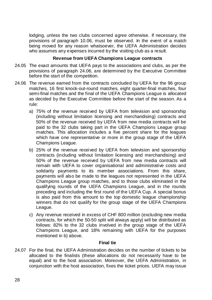lodging, unless the two clubs concerned agree otherwise. If necessary, the provisions of paragraph 10.06, must be observed. In the event of a match being moved for any reason whatsoever, the UEFA Administration decides who assumes any expenses incurred by the visiting club as a result.

# **Revenue from UEFA Champions League contracts**

- 24.05 The exact amounts that UEFA pays to the associations and clubs, as per the provisions of paragraph 24.06, are determined by the Executive Committee before the start of the competition.
- 24.06 The revenue earned from the contracts concluded by UEFA for the 96 group matches, 16 first knock-out-round matches, eight quarter-final matches, four semi-final matches and the final of the UEFA Champions League is allocated as decided by the Executive Committee before the start of the season. As a rule:
	- a) 75% of the revenue received by UEFA from television and sponsorship (including without limitation licensing and merchandising) contracts and 50% of the revenue received by UEFA from new media contracts will be paid to the 32 clubs taking part in the UEFA Champions League group matches. This allocation includes a five percent share for the leagues which have one representative or more in the group stage of the UEFA Champions League.
	- b) 25% of the revenue received by UEFA from television and sponsorship contracts (including without limitation licensing and merchandising) and 50% of the revenue received by UEFA from new media contracts will remain with UEFA to cover organisational and administrative costs and solidarity payments to its member associations. From this share, payments will also be made to the leagues not represented in the UEFA Champions League group matches, and to those clubs eliminated in the qualifying rounds of the UEFA Champions League, and in the rounds preceding and including the first round of the UEFA Cup. A special bonus is also paid from this amount to the top domestic league championship winners that do not qualify for the group stage of the UEFA Champions League.
	- c) Any revenue received in excess of CHF 800 million (excluding new media contracts, for which the 50-50 split will always apply) will be distributed as follows: 82% to the 32 clubs involved in the group stage of the UEFA Champions League, and 18% remaining with UEFA for the purposes mentioned in b) above.

# **Final tie**

24.07 For the final, the UEFA Administration decides on the number of tickets to be allocated to the finalists (these allocations do not necessarily have to be equal) and to the host association. Moreover, the UEFA Administration, in conjunction with the host association, fixes the ticket prices. UEFA may issue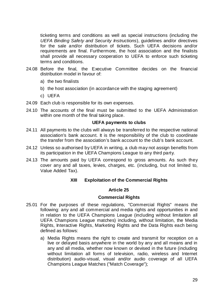ticketing terms and conditions as well as special instructions (including the *UEFA Binding Safety and Security Instructions*), guidelines and/or directives for the sale and/or distribution of tickets. Such UEFA decisions and/or requirements are final. Furthermore, the host association and the finalists shall provide all necessary cooperation to UEFA to enforce such ticketing terms and conditions.

- 24.08 Before the final, the Executive Committee decides on the financial distribution model in favour of:
	- a) the two finalists
	- b) the host association (in accordance with the staging agreement)
	- c) UEFA
- 24.09 Each club is responsible for its own expenses.
- 24.10 The accounts of the final must be submitted to the UEFA Administration within one month of the final taking place.

## **UEFA payments to clubs**

- 24.11 All payments to the clubs will always be transferred to the respective national association's bank account. It is the responsibility of the club to coordinate the transfer from the association's bank account to the club's bank account.
- 24.12 Unless so authorised by UEFA in writing, a club may not assign benefits from its participation in the UEFA Champions League to any third party.
- 24.13 The amounts paid by UEFA correspond to gross amounts. As such they cover any and all taxes, levies, charges, etc. (including, but not limited to, Value Added Tax).

# **XIII Exploitation of the Commercial Rights**

# **Article 25**

# **Commercial Rights**

- 25.01 For the purposes of these regulations, "Commercial Rights" means the following: any and all commercial and media rights and opportunities in and in relation to the UEFA Champions League (including without limitation all UEFA Champions League matches) including, without limitation, the Media Rights, Interactive Rights, Marketing Rights and the Data Rights each being defined as follows:
	- a) Media Rights means the right to create and transmit for reception on a live or delayed basis anywhere in the world by any and all means and in any and all media, whether now known or devised in the future (including without limitation all forms of television, radio, wireless and Internet distribution) audio-visual, visual and/or audio coverage of all UEFA Champions League Matches ("Match Coverage");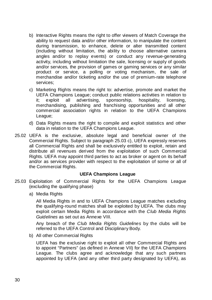- b) Interactive Rights means the right to offer viewers of Match Coverage the ability to request data and/or other information, to manipulate the content during transmission, to enhance, delete or alter transmitted content (including without limitation, the ability to choose alternative camera angles and/or to replay events) or conduct any revenue-generating activity, including without limitation the sale, licensing or supply of goods and/or services, the provision of games or gaming services or any similar product or service, a polling or voting mechanism, the sale of merchandise and/or ticketing and/or the use of premium-rate telephone services;
- c) Marketing Rights means the right to: advertise, promote and market the UEFA Champions League; conduct public relations activities in relation to it; exploit all advertising, sponsorship, hospitality, licensing, merchandising, publishing and franchising opportunities and all other commercial association rights in relation to the UEFA Champions League;
- d) Data Rights means the right to compile and exploit statistics and other data in relation to the UEFA Champions League.
- 25.02 UEFA is the exclusive, absolute legal and beneficial owner of the Commercial Rights. Subject to paragraph 25.03 c), UEFA expressly reserves all Commercial Rights and shall be exclusively entitled to exploit, retain and distribute all revenues derived from the exploitation of such Commercial Rights. UEFA may appoint third parties to act as broker or agent on its behalf and/or as services provider with respect to the exploitation of some or all of the Commercial Rights.

# **UEFA Champions League**

- 25.03 Exploitation of Commercial Rights for the UEFA Champions League (excluding the qualifying phase)
	- a) Media Rights

All Media Rights in and to UEFA Champions League matches excluding the qualifying-round matches shall be exploited by UEFA. The clubs may exploit certain Media Rights in accordance with the *Club Media Rights Guidelines* as set out as Annexe VIII.

Any breach of the *Club Media Rights Guidelines* by the clubs will be referred to the UEFA Control and Disciplinary Body.

b) All other Commercial Rights

UEFA has the exclusive right to exploit all other Commercial Rights and to appoint "Partners" (as defined in Annexe VII) for the UEFA Champions League. The clubs agree and acknowledge that any such partners appointed by UEFA (and any other third party designated by UEFA), as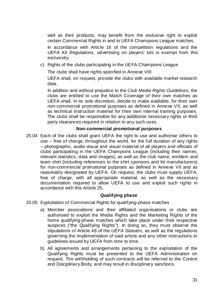well as their products, may benefit from the exclusive right to exploit certain Commercial Rights in and to UEFA Champions League matches.

In accordance with Article 16 of the competition regulations and the *UEFA Kit Regulations*, advertising on players' kits is exempt from this exclusivity.

c) Rights of the clubs participating in the UEFA Champions League

The clubs shall have rights specified in Annexe VIII:

UEFA shall, on request, provide the clubs with available market research data.

In addition and without prejudice to the *Club Media Rights Guidelines*, the clubs are entitled to use the Match Coverage of their own matches as UEFA shall, in its sole discretion, decide to make available, for their own non-commercial promotional purposes as defined in Annexe VII, as well as technical instruction material for their own internal training purposes. The clubs shall be responsible for any additional necessary rights or third party clearances required in relation to any such uses.

# **Non-commercial promotional purposes**

25.04 Each of the clubs shall grant UEFA the right to use and authorise others to use – free of charge, throughout the world, for the full duration of any rights – photographic, audio-visual and visual material of all players and officials of clubs participating in the UEFA Champions League (including their names, relevant statistics, data and images), as well as the club name, emblem and team shirt (including references to the shirt sponsors and kit manufacturers) for non-commercial promotional purposes as defined in Annexe VII and as reasonably designated by UEFA. On request, the clubs must supply UEFA, free of charge, with all appropriate material, as well as the necessary documentation required to allow UEFA to use and exploit such rights in accordance with this Article 25.

# **Qualifying phase**

- 25.05 Exploitation of Commercial Rights for qualifying-phase matches
	- a) Member associations and their affiliated organisations or clubs are authorised to exploit the Media Rights and the Marketing Rights of the home qualifying-phase matches which take place under their respective auspices ("the Qualifying Rights"). In doing so, they must observe the stipulations of Article 48 of the *UEFA Statutes*, as well as the regulations governing the implementation of said article and any other instructions or guidelines issued by UEFA from time to time.
	- b) All agreements and arrangements pertaining to the exploitation of the Qualifying Rights must be presented to the UEFA Administration on request. The withholding of such contracts will be referred to the Control and Disciplinary Body, and may result in disciplinary sanctions.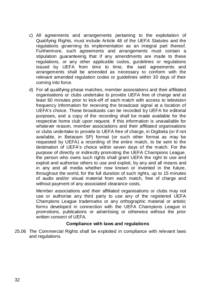- c) All agreements and arrangements pertaining to the exploitation of Qualifying Rights, must include Article 48 of the *UEFA Statutes* and the regulations governing its implementation as an integral part thereof. Furthermore, such agreements and arrangements must contain a stipulation guaranteeing that if any amendments are made to these regulations, or any other applicable codes, guidelines or regulations issued by UEFA from time to time, the said agreements and arrangements shall be amended as necessary to conform with the relevant amended regulation codes or guidelines within 30 days of their coming into force.
- d) For all qualifying-phase matches, member associations and their affiliated organisations or clubs undertake to provide UEFA free of charge and at least 60 minutes prior to kick-off of each match with access to television frequency information for receiving the broadcast signal at a location of UEFA's choice. These broadcasts can be recorded by UEFA for editorial purposes, and a copy of the recording shall be made available for the respective home club upon request. If this information is unavailable for whatever reason, member associations and their affiliated organisations or clubs undertake to provide to UEFA free of charge, in Digibeta (or if not available, in Betacam SP) format (or such other format as may be requested by UEFA) a recording of the entire match, to be sent to the destination of UEFA's choice within seven days of the match. For the purpose of directly or indirectly promoting the UEFA Champions League, the person who owns such rights shall grant UEFA the right to use and exploit and authorise others to use and exploit, by any and all means and in any and all media whether now known or invented in the future, throughout the world, for the full duration of such rights, up to 15 minutes of audio and/or visual material from each match, free of charge and without payment of any associated clearance costs.

Member associations and their affiliated organisations or clubs may not use or authorise any third party to use any of the registered UEFA Champions League trademarks or any orthographic material or artistic forms developed in connection with the UEFA Champions League in promotions, publications or advertising or otherwise without the prior written consent of UEFA.

#### **Compliance with laws and regulations**

25.06 The Commercial Rights shall be exploited in compliance with relevant laws and regulations.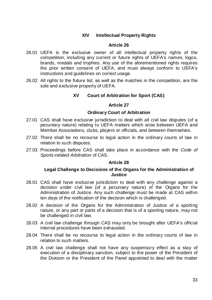# **XIV Intellectual Property Rights**

### **Article 26**

- 26.01 UEFA is the exclusive owner of all intellectual property rights of the competition, including any current or future rights of UEFA's names, logos, brands, medals and trophies. Any use of the aforementioned rights requires the prior written consent of UEFA, and must always conform to UEFA's instructions and guidelines on correct usage.
- 26.02 All rights to the fixture list, as well as the matches in the competition, are the sole and exclusive property of UEFA.

# **XV Court of Arbitration for Sport (CAS)**

### **Article 27**

#### **Ordinary Court of Arbitration**

- 27.01 CAS shall have exclusive jurisdiction to deal with all civil law disputes (of a pecuniary nature) relating to UEFA matters which arise between UEFA and Member Associations, clubs, players or officials, and between themselves.
- 27.02 There shall be no recourse to legal action in the ordinary courts of law in relation to such disputes.
- 27.03 Proceedings before CAS shall take place in accordance with the *Code of Sports-related Arbitration* of CAS.

#### **Article 28**

### **Legal Challenge to Decisions of the Organs for the Administration of Justice**

- 28.01 CAS shall have exclusive jurisdiction to deal with any challenge against a decision under civil law (of a pecuniary nature) of the Organs for the Administration of Justice. Any such challenge must be made at CAS within ten days of the notification of the decision which is challenged.
- 28.02 A decision of the Organs for the Administration of Justice of a sporting nature, or any part or parts of a decision that is of a sporting nature, may not be challenged in civil law.
- 28.03 A civil law challenge through CAS may only be brought after UEFA's official internal procedures have been exhausted.
- 28.04 There shall be no recourse to legal action in the ordinary courts of law in relation to such matters.
- 28.05 A civil law challenge shall not have any suspensory effect as a stay of execution of a disciplinary sanction, subject to the power of the President of the Division or the President of the Panel appointed to deal with the matter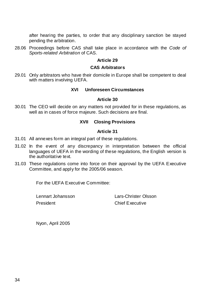after hearing the parties, to order that any disciplinary sanction be stayed pending the arbitration.

28.06 Proceedings before CAS shall take place in accordance with the *Code of Sports-related Arbitration* of CAS.

### **Article 29**

### **CAS Arbitrators**

29.01 Only arbitrators who have their domicile in Europe shall be competent to deal with matters involving UEFA.

### **XVI Unforeseen Circumstances**

### **Article 30**

30.01 The CEO will decide on any matters not provided for in these regulations, as well as in cases of force majeure. Such decisions are final.

# **XVII Closing Provisions**

### **Article 31**

- 31.01 All annexes form an integral part of these regulations.
- 31.02 In the event of any discrepancy in interpretation between the official languages of UEFA in the wording of these regulations, the English version is the authoritative text.
- 31.03 These regulations come into force on their approval by the UEFA Executive Committee, and apply for the 2005/06 season.

For the UEFA Executive Committee:

President Chief Executive

Lennart Johansson Lars-Christer Olsson

Nyon, April 2005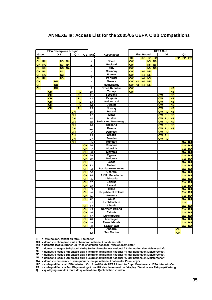### **ANNEXE Ia: Access List for the 2005/06 UEFA Club Competitions**

| <b>UEFA Champions League</b> |                 |                        |                               |                                  |                |                                     | <b>UEFA Cup</b>                     |                  |                 |                            |                        |                        |           |                 |              |                          |                        |           |                        |                          |           |
|------------------------------|-----------------|------------------------|-------------------------------|----------------------------------|----------------|-------------------------------------|-------------------------------------|------------------|-----------------|----------------------------|------------------------|------------------------|-----------|-----------------|--------------|--------------------------|------------------------|-----------|------------------------|--------------------------|-----------|
|                              | Group           |                        |                               | Q <sub>3</sub><br>Q <sub>2</sub> |                |                                     |                                     |                  | Q 1 Ranki       | <b>Association</b>         |                        | <b>First Round</b>     |           |                 |              | Q <sub>2</sub>           |                        |           |                        |                          |           |
| <b>TH</b>                    |                 |                        |                               |                                  |                | <b>TH</b>                           |                                     |                  |                 | <b>UIC UIC UIC</b>         |                        |                        |           | FP.             | FP           | FP.                      |                        |           |                        |                          |           |
| <b>CH</b>                    | <b>RU</b>       |                        |                               | N <sub>3</sub>                   | N <sub>4</sub> |                                     |                                     |                  | $\mathbf{1}$    | <b>Spain</b>               | $\overline{\text{cw}}$ |                        |           | <b>N5</b>       | <b>N6</b>    |                          |                        |           |                        |                          |           |
| <b>CH</b>                    | <b>RU</b>       |                        |                               | N <sub>3</sub>                   | <b>N4</b>      |                                     |                                     |                  | $\overline{c}$  | England                    | <b>CW</b>              |                        |           | <b>N5</b>       | <b>N6</b>    |                          |                        |           |                        |                          |           |
| <b>CH</b>                    | RU              |                        |                               | N <sub>3</sub>                   | N <sub>4</sub> |                                     |                                     |                  | 3               | <b>Italy</b>               | $\overline{\text{cw}}$ |                        |           | <b>N5</b>       | N6           |                          |                        |           |                        |                          |           |
| <b>CH</b>                    | <b>RU</b>       |                        |                               | N <sub>3</sub>                   |                |                                     |                                     |                  | 4               | Germany                    | <b>CW</b>              |                        | <b>N4</b> | <b>N5</b>       |              |                          |                        |           |                        |                          |           |
| <b>CH</b>                    | $\overline{RU}$ |                        |                               | N <sub>3</sub>                   |                |                                     |                                     |                  | 5               | France                     | $\overline{\text{cw}}$ |                        | <b>N4</b> | <b>N5</b>       |              |                          |                        |           |                        |                          |           |
| <b>CH</b>                    | <b>RU</b>       |                        |                               | N <sub>3</sub>                   |                |                                     |                                     |                  | 6               | Portugal                   | <b>CW</b>              |                        | <b>N4</b> | <b>N5</b>       |              |                          |                        |           |                        |                          |           |
| <b>CH</b>                    |                 |                        | <b>RU</b>                     |                                  |                |                                     |                                     |                  | $\overline{7}$  | Greece                     | <b>CW</b>              | N <sub>3</sub>         | <b>N4</b> | <b>N5</b>       |              |                          |                        |           |                        |                          |           |
| <b>CH</b>                    |                 |                        | $\overline{RU}$               |                                  |                |                                     |                                     |                  | 8               | Netherlands                | <b>CW</b>              | N3                     | <b>N4</b> | <b>N5</b>       |              |                          |                        |           |                        |                          |           |
| $\overline{CH}$              |                 |                        | $\overline{RU}$               |                                  |                |                                     |                                     |                  | 9               | <b>Czech Republic</b>      | <b>CW</b>              |                        |           |                 |              |                          |                        | N3        |                        |                          |           |
|                              |                 | <b>CH</b>              |                               |                                  |                |                                     | <b>RU</b>                           |                  | 10              | <b>Turkey</b>              | <b>CW</b>              |                        |           |                 |              |                          |                        | N3        |                        |                          |           |
|                              |                 | <b>CH</b>              |                               |                                  |                |                                     | <b>RU</b>                           |                  | 11              | Scotland                   |                        |                        |           |                 |              | <b>CW</b>                |                        | N3        |                        |                          |           |
|                              |                 | <b>CH</b><br><b>RU</b> |                               |                                  | 12             | <b>Belgium</b>                      |                                     |                  |                 |                            |                        | $\overline{\text{cw}}$ |           | N3              |              |                          |                        |           |                        |                          |           |
|                              |                 | <b>CH</b><br><b>RU</b> |                               | 13                               | Switzerland    |                                     |                                     |                  |                 |                            | <b>CW</b>              |                        | N3        |                 |              |                          |                        |           |                        |                          |           |
|                              |                 | <b>CH</b><br><b>RU</b> |                               |                                  | 14             | <b>Ukraine</b>                      |                                     |                  |                 |                            |                        | <b>CW</b>              |           | N3              |              |                          |                        |           |                        |                          |           |
|                              |                 | <b>CH</b>              |                               |                                  | <b>RU</b>      |                                     | 15                                  | <b>Norway</b>    |                 |                            |                        |                        |           | <b>CW</b>       |              | N3                       |                        |           |                        |                          |           |
|                              |                 |                        |                               |                                  |                | <b>CH</b>                           |                                     |                  | 16              | Poland                     |                        |                        |           |                 |              |                          | CW RU                  | N3        |                        |                          |           |
|                              |                 |                        |                               |                                  |                | <b>CH</b>                           |                                     |                  | 17              | <b>Israel</b>              |                        |                        |           |                 |              |                          | <b>CW RU</b>           | N3        |                        |                          |           |
|                              |                 |                        |                               |                                  |                | <b>CH</b>                           |                                     |                  | 18              | <b>Austria</b>             |                        |                        |           |                 |              | <b>CW</b>                | <b>RU</b>              | N3        |                        |                          |           |
|                              |                 |                        |                               |                                  |                | $\overline{\overline{\mathsf{CH}}}$ |                                     |                  | 19              | Serbia and Montenegro      |                        |                        |           |                 |              |                          | <b>CW RU</b>           | N3        |                        |                          |           |
|                              |                 |                        |                               | <b>CH</b>                        |                |                                     | 20                                  | <b>Bulgaria</b>  |                 |                            |                        |                        |           |                 | <b>CW RU</b> | N3                       |                        |           |                        |                          |           |
|                              |                 | <b>CH</b>              |                               |                                  | 21             | <b>Russia</b>                       |                                     |                  |                 |                            |                        | <b>CW</b>              | <b>RU</b> | N <sub>3</sub>  |              |                          |                        |           |                        |                          |           |
|                              |                 | <b>CH</b>              |                               |                                  |                | 22                                  | <b>Denmark</b>                      |                  |                 |                            |                        |                        | <b>CW</b> | $\overline{RU}$ |              |                          |                        |           |                        |                          |           |
|                              |                 |                        |                               |                                  |                | <b>CH</b>                           |                                     |                  | 23              | Croatia                    |                        |                        |           |                 |              |                          | <b>CW RU</b>           |           |                        |                          |           |
|                              |                 |                        |                               |                                  |                | <b>CH</b>                           |                                     |                  | 24              | Sweden                     |                        |                        |           |                 |              |                          | CW RU                  |           |                        |                          |           |
|                              |                 |                        |                               |                                  |                | <b>CH</b>                           |                                     |                  | 25              | Hungary                    |                        |                        |           |                 |              |                          |                        |           |                        | <b>CW</b>                | <b>RU</b> |
|                              |                 |                        |                               |                                  |                |                                     |                                     | $\overline{CH}$  | 26              | Romania                    |                        |                        |           |                 |              |                          |                        |           |                        |                          | CW RU     |
|                              |                 |                        |                               |                                  |                |                                     |                                     | <b>CH</b>        | 27              | Slovakia                   |                        |                        |           |                 |              |                          |                        |           |                        |                          | CW RU     |
|                              |                 |                        |                               |                                  |                |                                     |                                     | <b>CH</b>        | 28              | Slovenia                   |                        |                        |           |                 |              |                          |                        |           |                        | <b>CW</b>                | <b>RU</b> |
|                              |                 |                        |                               |                                  |                |                                     |                                     | <b>CH</b>        | 29              | Cyprus                     |                        |                        |           |                 |              |                          |                        |           |                        | CW RU                    |           |
|                              |                 |                        |                               |                                  |                |                                     |                                     | <b>CH</b>        | 30              | Moldova                    |                        |                        |           |                 |              |                          |                        |           |                        | $\overline{\text{cw}}$   | RU        |
|                              |                 |                        |                               |                                  |                |                                     |                                     | <b>CH</b>        | 31              | Latvia                     |                        |                        |           |                 |              |                          |                        |           |                        | <b>CW</b>                | <b>RU</b> |
|                              |                 |                        |                               |                                  |                |                                     |                                     | CH               | $\overline{32}$ | <b>Finland</b>             |                        |                        |           |                 |              |                          |                        |           |                        | <b>CW</b>                | <b>RU</b> |
|                              |                 |                        |                               |                                  | <b>CH</b>      | 33                                  | Bosnia-Herzegovina                  |                  |                 |                            |                        |                        |           |                 |              |                          | <b>CW</b>              | <b>RU</b> |                        |                          |           |
|                              |                 |                        |                               |                                  |                | CH                                  | 34                                  | Georgia          |                 |                            |                        |                        |           |                 |              |                          |                        | <b>CW</b> | <b>RU</b>              |                          |           |
|                              |                 |                        |                               | CH                               |                |                                     | 35                                  | F.Y.R. Macedonia |                 |                            |                        |                        |           |                 |              |                          |                        | <b>CW</b> | <b>RU</b>              |                          |           |
|                              |                 |                        |                               |                                  |                |                                     | $\overline{\overline{\mathsf{CH}}}$ | 36               | Lithuania       |                            |                        |                        |           |                 |              |                          |                        |           | $\overline{\text{cw}}$ | <b>RU</b>                |           |
|                              |                 |                        |                               |                                  |                |                                     |                                     | CH               | 37              | <b>Belarus</b>             |                        |                        |           |                 |              |                          |                        |           |                        | <b>CW</b>                | <b>RU</b> |
|                              |                 |                        |                               |                                  |                | <b>CH</b>                           | 38                                  | Iceland          |                 |                            |                        |                        |           |                 |              |                          |                        | <b>CW</b> | <b>RU</b>              |                          |           |
|                              |                 |                        |                               |                                  |                |                                     |                                     | CH               | 39              | <b>Malta</b>               |                        |                        |           |                 |              |                          |                        |           | <b>CW</b>              | <b>RU</b>                |           |
|                              |                 |                        |                               |                                  |                |                                     |                                     | <b>CH</b>        | 40              | <b>Republic of Ireland</b> |                        |                        |           |                 |              |                          |                        |           |                        | <b>CW</b>                | <b>RU</b> |
|                              |                 |                        | <b>CH</b>                     |                                  | 41             | <b>Armenia</b>                      |                                     |                  |                 |                            |                        |                        |           |                 |              | <b>CW</b>                | <b>RU</b>              |           |                        |                          |           |
|                              |                 |                        | Wales<br><b>CH</b><br>42      |                                  |                |                                     |                                     |                  |                 |                            |                        |                        |           |                 | <b>CW</b>    | <b>RU</b>                |                        |           |                        |                          |           |
|                              |                 |                        |                               |                                  |                |                                     |                                     |                  | 43              | Liechtenstein              |                        |                        |           |                 |              |                          |                        |           |                        | <b>CW</b>                |           |
|                              |                 |                        |                               | <b>CH</b><br>44                  |                | <b>Albania</b>                      |                                     |                  |                 |                            |                        |                        |           |                 |              | $\overline{\mathsf{cw}}$ | <b>RU</b>              |           |                        |                          |           |
|                              |                 |                        |                               |                                  |                |                                     |                                     | CH               | 45              | Northern Ireland           |                        |                        |           |                 |              |                          |                        |           |                        | <b>CW</b>                | <b>RU</b> |
|                              |                 |                        |                               |                                  |                |                                     |                                     | <b>CH</b>        | 46              | <b>Estonia</b>             |                        |                        |           |                 |              |                          |                        |           |                        | <b>CW</b>                | <b>RU</b> |
|                              |                 |                        |                               |                                  |                |                                     |                                     | <b>CH</b>        | 47              | Luxembourg                 |                        |                        |           |                 |              |                          |                        |           |                        | $\overline{\mathsf{cw}}$ | RU        |
|                              |                 |                        |                               |                                  |                |                                     |                                     | <b>CH</b>        | 48              | Azerbai jan                |                        |                        |           |                 |              |                          |                        |           |                        | <b>CW</b>                | <b>RU</b> |
|                              |                 |                        |                               |                                  |                |                                     |                                     | <b>CH</b>        | 49              | <b>Faroe Islands</b>       |                        |                        |           |                 |              |                          |                        |           |                        | <b>CW</b>                | <b>RU</b> |
|                              |                 |                        | Kazakhstan<br><b>CH</b><br>50 |                                  |                |                                     |                                     |                  |                 |                            |                        |                        |           |                 |              |                          | $\overline{\text{cw}}$ | <b>RU</b> |                        |                          |           |
|                              |                 |                        |                               |                                  |                |                                     |                                     |                  | 51              | Andorra                    |                        |                        |           |                 |              |                          |                        |           | CН                     |                          |           |
|                              |                 |                        |                               |                                  |                |                                     | 52                                  | San Marino       |                 |                            |                        |                        |           |                 |              |                          | <b>CH</b>              |           |                        |                          |           |

**TH = title-holder / tenant du titre / Titelhalter**

**CH = domestic champion club / champion national / Landesmeister RU = dometic league runner-up / vice-champion national / Vizelandesmeister**

**N3 = domestic league 3rd-placed club / 3e du championnat national / 3. der nationalen Meisterschaft**

**N4 = domestic league 4th-placed club / 4e du championnat national / 4. der nationalen Meisterschaft**

**N5 = domestic league 5th-placed club / 5e du championnat national / 5. der nationalen Meisterschaft**

**N6 = domestic league 6th-placed club / 6e du championnat national / 6. der nationalen Meisterschaft**

**CW = domestic cup-winner / vainqueur de coupe national / nationaler Pokalsieger**

**UIC = club qualified via UEFA Intertoto Cup / qualifié via UEFA Intertoto Cup / Vereine aus UEFA Intertoto Cup**

**FP = club qualified via Fair Play rankings / qualifié via classement du fair-play / Vereine aus Fairplay-Wertung**

**Q = qualifying rounds / tours de qualification / Qualifikationsrunden**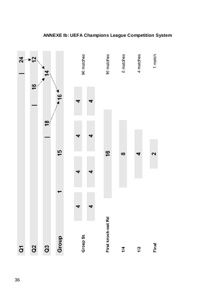

# **ANNEXE Ib: UEFA Champions League Competition System**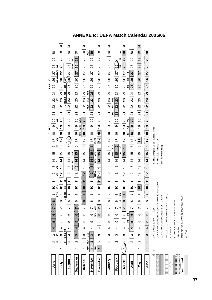# **ANNEXE Ic: UEFA Match Calendar 2005/06**

| š<br>uci<br>UICT UICT | 30<br>29<br>28<br>ō<br>Q2 Q2+UIC4<br>26 27<br>25<br>$\overline{c}$<br>23<br>22<br>21<br>19    20<br>ō<br>ā<br>$\frac{8}{1}$<br>UIC3 UIC3<br>$\overline{17}$<br>$\frac{6}{5}$<br>15<br>$12$   13 14<br>ō<br>$\bar{\circ}$<br>ō<br>$10$ 11<br>UIC <sub>2</sub> UIC <sub>2</sub><br>თ<br>$\infty$<br>jm.<br>N<br>ဖ<br>5<br>4<br>ო | 5<br>30<br>29<br>$\overline{a}$<br>27<br>26<br>$24$   25<br>23<br>UIC <sub>3</sub><br>2<br>ភ<br>$\overline{a}$<br><b>°1</b><br>$17$   18<br>$\frac{6}{1}$<br>$\frac{15}{2}$<br>$\frac{4}{3}$<br>13<br><u>12</u><br>$10$   11<br>တ<br>œ<br>ဖ<br>5<br>UIC <sub>2</sub> | 75<br>30<br>28    29<br>25<br>g<br>24<br>ĉ<br>UIC5+Q3<br>ន<br>$21$ 22<br><u>ន</u><br>$\frac{1}{2}$<br>(17)18<br>$\frac{6}{1}$<br>$14$   15<br>13<br>$\frac{1}{2}$<br>$\overline{E}$<br>8<br>$\frac{1}{2}$<br>G<br>UIC5+Q3<br>თ<br>$\infty$<br>ဖ<br>Ю<br>4<br>Q2+UIC4 | 30<br>181<br>29<br>MD <sub>2</sub><br>28<br>MD <sub>2</sub><br>27<br>25 26<br>$\overline{6}$<br>23<br>2<br>ភ<br>20<br>$18$   19<br>$\overline{1}$<br>$\frac{6}{2}$<br>15<br>181<br>$\frac{4}{1}$<br>MD1 MD1<br>$\overline{13}$<br>$10$ $11$ $12$<br>တ<br>œ<br>N<br>6<br>5<br>4<br>3 | $30 \mid 31$<br>MD4<br>29<br>28<br>27<br>26<br>25<br>$23$ $24$<br>MD <sub>3</sub><br>MD5<br>MD5<br>2<br>ភ<br>20<br>MD3 MD1<br>$\frac{1}{2}$<br>ND <sub>3</sub><br>$\frac{8}{10}$<br>$16$   17<br>15<br>$\overline{4}$<br>13<br>$10$ 11 12<br>$\bullet$<br>نسبب<br>$\infty$<br>i<br>ဖ<br>ю<br>4<br>M <sub>D2</sub><br>ო | ္က<br>29<br>27 28<br>26<br>25<br>24<br>23<br>$\boldsymbol{z}$<br>$20$ 21<br>$18$ 19<br>$10$ $11$ $\begin{array}{ c c } \hline 12 & 13 \\ \hline \text{EUSA} \end{array}$<br>თ<br>œ<br>MD6<br>6<br>MD <sub>6</sub><br>5<br>4 | 5<br>30<br>29<br>88<br>27<br>$25 \mid 26$<br>24<br>23<br>2<br>ត<br>20<br>$-18$ 19<br>$\overline{11}$<br>$\frac{6}{1}$<br>$\frac{15}{2}$<br>14<br>$\frac{3}{2}$<br>11   12<br>$\frac{1}{2}$<br>თ<br>œ<br>$\mathbf{\omega}$<br>5<br>4<br>ო | 75<br>29 30<br>28<br>27<br>26<br>25<br>24<br>22    23<br>1/16<br>1/8<br>1/8<br>21<br>20<br>$\frac{0}{1}$<br>$\frac{8}{1}$<br>$15$   16<br>1/16<br>1/16<br>$\frac{4}{1}$<br>13<br>$\frac{1}{2}$<br>Ξ<br>$\frac{1}{2}$<br>Φ<br>$\infty$<br>ဖ<br>ю<br>4<br>ო | 8<br>26 27<br>25<br>24<br>23<br>22<br>$\overline{a}$<br>$19$ 20<br>$\frac{8}{1}$<br>17<br>16<br>15<br>$\frac{4}{4}$<br>$\frac{12}{13}$<br>Ξ<br>$\frac{1}{2}$<br>თ<br>∞<br>ဖ<br>Ю<br>4<br>ო | 75<br>30<br>1/4<br>29<br>$\frac{1}{4}$<br>28<br>$\frac{14}{3}$<br>26 27<br>1/2<br>1/2<br>25<br>1/2<br>ನೆ<br>23<br>လ္လ<br>21<br>$19$ 20<br>1/2<br>1/2<br>$\frac{8}{1}$<br>12<br>$\overline{17}$<br>$\frac{6}{2}$<br>1/8<br>15<br>1/8<br>$\frac{4}{3}$<br>$12$   13<br>Ξ<br>$\overline{C}$<br>1/8<br>Φ<br>1/8<br>œ<br>1/8<br>Ľ<br>1/4<br>ဖ<br>1/4<br>Ю<br>14<br>ო | 30<br>29<br>88<br>27<br>26<br>25<br>23 24<br>2<br>ភ<br>20<br>$\frac{9}{1}$<br>$\frac{8}{18}$<br>$16$   17<br>14 15<br>13<br>$\frac{1}{2}$<br>Ξ<br>$\frac{10}{10}$<br>ő<br>8<br>ဖ<br>5<br>4<br>ო | ᢛ<br>30<br>28   29<br>27<br>26<br>55<br>$\overline{c}$<br>23<br>$\frac{27}{22}$<br><b>SO</b><br>$\frac{1}{2}$<br>$\frac{8}{1}$<br>$\overline{1}$<br>$14$   15 16<br>$\frac{3}{2}$<br>$\frac{1}{2}$<br>Ξ<br>$\overline{10}$<br>တ<br>8<br>ဖ<br>5<br>4<br>ო | 30<br> 27 28 29<br>26<br>19 20 21 22 23 24 25<br>$\frac{1}{2}$<br>თ<br>∞<br>ဖ<br>Ю<br>4<br>S | Q = UEFA Champions League / qualifying rounds<br>$\mathbb{R}^{\infty}$<br>START OF WEEK: SAT SUN | Q = UEFA Cup / qualifying rounds<br>UEFA CHAMPIONS LEAGUE MATCHES ON TUESDAYS AND WEDNESDAYS | UIC = UEFA Intertoto Cup<br>UEFA CUP MATCHES ON WEDNESDAYS OR THURSDAYS | TO 18 DEC)<br>FIFA CLUB WORLD CHAMPIONSHIP (FROM 11 | SCUP (AUG 26) | INTERNATIONAL MATCHES OF NATIONAL TEAMS<br>Wolrd Cup 2006 |
|-----------------------|--------------------------------------------------------------------------------------------------------------------------------------------------------------------------------------------------------------------------------------------------------------------------------------------------------------------------------|----------------------------------------------------------------------------------------------------------------------------------------------------------------------------------------------------------------------------------------------------------------------|----------------------------------------------------------------------------------------------------------------------------------------------------------------------------------------------------------------------------------------------------------------------|-------------------------------------------------------------------------------------------------------------------------------------------------------------------------------------------------------------------------------------------------------------------------------------|------------------------------------------------------------------------------------------------------------------------------------------------------------------------------------------------------------------------------------------------------------------------------------------------------------------------|-----------------------------------------------------------------------------------------------------------------------------------------------------------------------------------------------------------------------------|------------------------------------------------------------------------------------------------------------------------------------------------------------------------------------------------------------------------------------------|-----------------------------------------------------------------------------------------------------------------------------------------------------------------------------------------------------------------------------------------------------------|--------------------------------------------------------------------------------------------------------------------------------------------------------------------------------------------|-----------------------------------------------------------------------------------------------------------------------------------------------------------------------------------------------------------------------------------------------------------------------------------------------------------------------------------------------------------------|-------------------------------------------------------------------------------------------------------------------------------------------------------------------------------------------------|----------------------------------------------------------------------------------------------------------------------------------------------------------------------------------------------------------------------------------------------------------|----------------------------------------------------------------------------------------------|--------------------------------------------------------------------------------------------------|----------------------------------------------------------------------------------------------|-------------------------------------------------------------------------|-----------------------------------------------------|---------------|-----------------------------------------------------------|
|                       |                                                                                                                                                                                                                                                                                                                                |                                                                                                                                                                                                                                                                      |                                                                                                                                                                                                                                                                      |                                                                                                                                                                                                                                                                                     |                                                                                                                                                                                                                                                                                                                        |                                                                                                                                                                                                                             |                                                                                                                                                                                                                                          |                                                                                                                                                                                                                                                           |                                                                                                                                                                                            |                                                                                                                                                                                                                                                                                                                                                                 |                                                                                                                                                                                                 |                                                                                                                                                                                                                                                          |                                                                                              |                                                                                                  |                                                                                              |                                                                         |                                                     |               |                                                           |
|                       |                                                                                                                                                                                                                                                                                                                                |                                                                                                                                                                                                                                                                      |                                                                                                                                                                                                                                                                      |                                                                                                                                                                                                                                                                                     |                                                                                                                                                                                                                                                                                                                        |                                                                                                                                                                                                                             |                                                                                                                                                                                                                                          |                                                                                                                                                                                                                                                           |                                                                                                                                                                                            |                                                                                                                                                                                                                                                                                                                                                                 |                                                                                                                                                                                                 |                                                                                                                                                                                                                                                          |                                                                                              |                                                                                                  |                                                                                              |                                                                         |                                                     |               |                                                           |
|                       |                                                                                                                                                                                                                                                                                                                                |                                                                                                                                                                                                                                                                      |                                                                                                                                                                                                                                                                      |                                                                                                                                                                                                                                                                                     |                                                                                                                                                                                                                                                                                                                        |                                                                                                                                                                                                                             |                                                                                                                                                                                                                                          |                                                                                                                                                                                                                                                           |                                                                                                                                                                                            |                                                                                                                                                                                                                                                                                                                                                                 |                                                                                                                                                                                                 |                                                                                                                                                                                                                                                          |                                                                                              |                                                                                                  |                                                                                              |                                                                         |                                                     |               |                                                           |
|                       | $\sim$                                                                                                                                                                                                                                                                                                                         | JIC2<br>N                                                                                                                                                                                                                                                            |                                                                                                                                                                                                                                                                      | N                                                                                                                                                                                                                                                                                   | $\sim$                                                                                                                                                                                                                                                                                                                 | $\mathbf{a}$                                                                                                                                                                                                                | N                                                                                                                                                                                                                                        | 2                                                                                                                                                                                                                                                         | Ν                                                                                                                                                                                          | N                                                                                                                                                                                                                                                                                                                                                               | Z                                                                                                                                                                                               | N                                                                                                                                                                                                                                                        | $\mathbf{c}$                                                                                 |                                                                                                  |                                                                                              |                                                                         |                                                     |               |                                                           |
|                       |                                                                                                                                                                                                                                                                                                                                |                                                                                                                                                                                                                                                                      |                                                                                                                                                                                                                                                                      |                                                                                                                                                                                                                                                                                     | MD4 MD4                                                                                                                                                                                                                                                                                                                | MD4<br>$\mathbf{\tau}$                                                                                                                                                                                                      | ٣                                                                                                                                                                                                                                        |                                                                                                                                                                                                                                                           |                                                                                                                                                                                            |                                                                                                                                                                                                                                                                                                                                                                 |                                                                                                                                                                                                 |                                                                                                                                                                                                                                                          |                                                                                              |                                                                                                  |                                                                                              |                                                                         |                                                     |               |                                                           |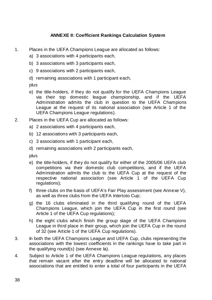# **ANNEXE II: Coefficient Rankings Calculation System**

- 1. Places in the UEFA Champions League are allocated as follows:
	- a) 3 associations with 4 participants each,
	- b) 3 associations with 3 participants each,
	- c) 9 associations with 2 participants each,
	- d) remaining associations with 1 participant each,

plus

- e) the title-holders, if they do not qualify for the UEFA Champions League via their top domestic league championship, and if the UEFA Administration admits the club in question to the UEFA Champions League at the request of its national association (see Article 1 of the UEFA Champions League regulations).
- 2. Places in the UEFA Cup are allocated as follows:
	- a) 2 associations with 4 participants each,
	- b) 12 associations with 3 participants each,
	- c) 3 associations with 1 participant each,
	- d) remaining associations with 2 participants each,

plus

- e) the title-holders, if they do not qualify for either of the 2005/06 UEFA club competitions via their domestic club competitions, and if the UEFA Administration admits the club to the UEFA Cup at the request of the respective national association (see Article 1 of the UEFA Cup regulations);
- f) three clubs on the basis of UEFA's Fair Play assessment (see Annexe V), as well as three clubs from the UEFA Intertoto Cup;
- g) the 16 clubs eliminated in the third qualifying round of the UEFA Champions League, which join the UEFA Cup in the first round (see Article 1 of the UEFA Cup regulations);
- h) the eight clubs which finish the group stage of the UEFA Champions League in third place in their group, which join the UEFA Cup in the round of 32 (see Article 1 of the UEFA Cup regulations).
- 3. In both the UEFA Champions League and UEFA Cup, clubs representing the associations with the lowest coefficients in the rankings have to take part in the qualifying round(s) (see Annexe Ia).
- 4. Subject to Article 1 of the UEFA Champions League regulations, any places that remain vacant after the entry deadline will be allocated to national associations that are entitled to enter a total of four participants in the UEFA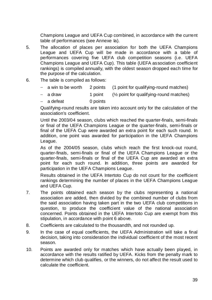Champions League and UEFA Cup combined, in accordance with the current table of performances (see Annexe Ia).

- 5. The allocation of places per association for both the UEFA Champions League and UEFA Cup will be made in accordance with a table of performances covering five UEFA club competition seasons (i.e. UEFA Champions League and UEFA Cup). This table (UEFA association coefficient rankings) is compiled annually, with the oldest season dropped each time for the purpose of the calculation.
- 6. The table is compiled as follows:
	- a win to be worth 2 points (1 point for qualifying-round matches)
	- − a draw 1 point (½ point for qualifying-round matches)
	- a defeat 0 points

Qualifying-round results are taken into account only for the calculation of the association's coefficient.

Until the 2003/04 season, clubs which reached the quarter-finals, semi-finals or final of the UEFA Champions League or the quarter-finals, semi-finals or final of the UEFA Cup were awarded an extra point for each such round. In addition, one point was awarded for participation in the UEFA Champions League.

As of the 2004/05 season, clubs which reach the first knock-out round, quarter-finals, semi-finals or final of the UEFA Champions League or the quarter-finals, semi-finals or final of the UEFA Cup are awarded an extra point for each such round. In addition, three points are awarded for participation in the UEFA Champions League.

Results obtained in the UEFA Intertoto Cup do not count for the coefficient rankings determining the number of places in the UEFA Champions League and UEFA Cup.

- 7. The points obtained each season by the clubs representing a national association are added, then divided by the combined number of clubs from the said association having taken part in the two UEFA club competitions in question, to produce the coefficient value of the national association concerned. Points obtained in the UEFA Intertoto Cup are exempt from this stipulation, in accordance with point 6 above.
- 8. Coefficients are calculated to the thousandth, and not rounded up.
- 9. In the case of equal coefficients, the UEFA Administration will take a final decision, taking into consideration the individual coefficient of the most recent season.
- 10. Points are awarded only for matches which have actually been played, in accordance with the results ratified by UEFA. Kicks from the penalty mark to determine which club qualifies, or the winners, do not affect the result used to calculate the coefficient.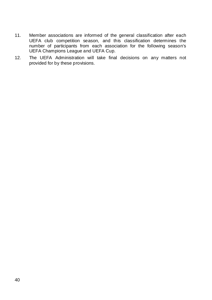- 11. Member associations are informed of the general classification after each UEFA club competition season, and this classification determines the number of participants from each association for the following season's UEFA Champions League and UEFA Cup.
- 12. The UEFA Administration will take final decisions on any matters not provided for by these provisions.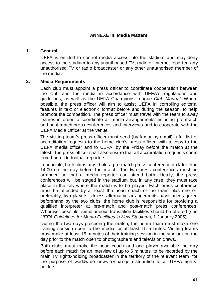### **ANNEXE III: Media Matters**

### **1. General**

UEFA is entitled to control media access into the stadium and may deny access to the stadium to any unauthorised TV, radio or Internet reporter, any unauthorised TV or radio broadcaster or any other unauthorised member of the media.

# **2. Media Requirements**

Each club must appoint a press officer to coordinate cooperation between the club and the media in accordance with UEFA's regulations and guidelines, as well as the UEFA Champions League *Club Manual*. Where possible, the press officer will aim to assist UEFA in compiling editorial features in text or electronic format before and during the season, to help promote the competition. The press officer must travel with the team to away fixtures in order to coordinate all media arrangements including pre-match and post-match press conferences and interviews and to cooperate with the UEFA Media Officer at the venue.

The visiting team's press officer must send (by fax or by email) a full list of accreditation requests to the home club's press officer, with a copy to the UEFA media officer and to UEFA, by the Friday before the match at the latest. The press officer shall also ensure that all accreditation requests come from bona fide football reporters.

In principle, both clubs must hold a pre-match press conference no later than 14.00 on the day before the match. The two press conferences must be arranged so that a media reporter can attend both. Ideally, the press conferences will be staged in the stadium but, in any case, they must take place in the city where the match is to be played. Each press conference must be attended by at least the head coach of the team plus one or, preferably, two players. Unless alternative arrangements have been agreed beforehand by the two clubs, the home club is responsible for providing a qualified interpreter at pre-match and post-match press conferences. Wherever possible, simultaneous translation facilities should be offered (see *UEFA Guidelines for Media Facilities in New Stadiums*, 1 January 2005).

During the two days preceding the match, the home team must make one training session open to the media for at least 15 minutes. Visiting teams must make at least 15 minutes of their training session in the stadium on the day prior to the match open to photographers and television crews.

Both clubs must make the head coach and one player available the day before each match for an interview of up to 5 minutes, to be recorded by the main TV rights-holding broadcaster in the territory of the relevant team, for the purpose of worldwide news-exchange distribution to all UEFA rightsholders.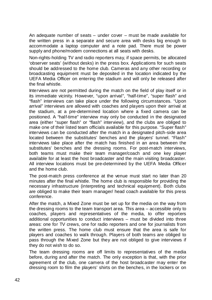An adequate number of seats – under cover – must be made available for the written press in a separate and secure area with desks big enough to accommodate a laptop computer and a note pad. There must be power supply and phone/modem connections at all seats with desks.

Non-rights-holding TV and radio reporters may, if space permits, be allocated 'observer seats' (without desks) in the press box. Applications for such seats should be addressed to the home club. Cameras and any other recording or broadcasting equipment must be deposited in the location indicated by the UEFA Media Officer on entering the stadium and will only be released after the final whistle.

Interviews are not permitted during the match on the field of play itself or in its immediate vicinity. However, "upon arrival", "half-time", "super flash" and "flash" interviews can take place under the following circumstances. "Upon arrival" interviews are allowed with coaches and players upon their arrival at the stadium, at a pre-determined location where a fixed camera can be positioned. A "half-time" interview may only be conducted in the designated area (either "super flash" or "flash" interview), and the clubs are obliged to make one of their listed team officials available for this purpose. "Super flash" interviews can be conducted after the match in a designated pitch-side area located between the substitutes' benches and the players' tunnel. "Flash" interviews take place after the match has finished in an area between the substitutes' benches and the dressing rooms. For post-match interviews, both teams must make their team manager/coach and one key player available for at least the host broadcaster and the main visiting broadcaster. All interview locations must be pre-determined by the UEFA Media Officer and the home club.

The post-match press conference at the venue must start no later than 20 minutes after the final whistle. The home club is responsible for providing the necessary infrastructure (interpreting and technical equipment). Both clubs are obliged to make their team manager/ head coach available for this press conference.

After the match, a Mixed Zone must be set up for the media on the way from the dressing rooms to the team transport area. This area – accessible only to coaches, players and representatives of the media, to offer reporters additional opportunities to conduct interviews – must be divided into three areas: one for TV crews, one for radio reporters and one for journalists from the written press. The home club must ensure that the area is safe for players and coaches to walk through. Players of both teams are obliged to pass through the Mixed Zone but they are not obliged to give interviews if they do not wish to do so.

The team dressing rooms are off limits to representatives of the media before, during and after the match. The only exception is that, with the prior agreement of the club, one camera of the host broadcaster may enter the dressing room to film the players' shirts on the benches, in the lockers or on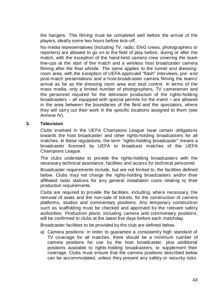the hangers. This filming must be completed well before the arrival of the players, ideally some two hours before kick-off.

No media representatives (including TV, radio, ENG crews, photographers or reporters) are allowed to go on to the field of play before, during or after the match, with the exception of the hand-held camera crew covering the team line-ups at the start of the match and a wireless host broadcaster camera filming after the final whistle. The same applies to the tunnel and dressingroom area, with the exception of UEFA-approved "flash" interviews, pre- and post-match presentations and a host-broadcaster camera filming the teams' arrival as far as the dressing room area and stud control. In terms of the mass media, only a limited number of photographers, TV cameramen and the personnel required for the television production of the rights-holding broadcasters – all equipped with special permits for the event – are allowed in the area between the boundaries of the field and the spectators, where they will carry out their work in the specific locations assigned to them (see Annexe IV).

### **3. Television**

Clubs involved in the UEFA Champions League have certain obligations towards the host broadcaster and other rights-holding broadcasters for all matches. In these regulations, the term "rights-holding broadcaster" means a broadcaster licensed by UEFA to broadcast matches of the UEFA Champions League.

The clubs undertake to provide the rights-holding broadcasters with the necessary technical assistance, facilities and access for technical personnel.

Broadcaster requirements include, but are not limited to, the facilities defined below. Clubs may not charge the rights-holding broadcasters and/or their affiliated radio stations for any general installation costs relating to their production requirements.

Clubs are required to provide the facilities, including, where necessary, the removal of seats and the non-sale of tickets, for the construction of camera platforms, studios and commentary positions. Any temporary construction such as scaffolding must be checked and approved by the relevant safety authorities. Production plans, including camera and commentary positions, will be confirmed to clubs at the latest five days before each matchday.

Broadcaster facilities to be provided by the club are defined below.

a) Camera positions: in order to guarantee a consistently high standard of TV coverage for all matches, there should be a minimum number of camera positions for use by the host broadcaster, plus additional positions available to rights-holding broadcasters, to supplement their coverage. Clubs must ensure that the camera positions described below can be accommodated, unless they present any safety or security risks.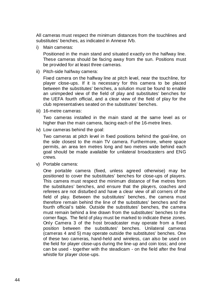All cameras must respect the minimum distances from the touchlines and substitutes' benches, as indicated in Annexe IVb.

i) Main cameras:

Positioned in the main stand and situated exactly on the halfway line. These cameras should be facing away from the sun. Positions must be provided for at least three cameras.

ii) Pitch-side halfway camera:

Fixed camera on the halfway line at pitch level, near the touchline, for player close-ups. If it is necessary for this camera to be placed between the substitutes' benches, a solution must be found to enable an unimpeded view of the field of play and substitutes' benches for the UEFA fourth official, and a clear view of the field of play for the club representatives seated on the substitutes' benches.

iii) 16-metre cameras:

Two cameras installed in the main stand at the same level as or higher than the main camera, facing each of the 16-metre lines.

iv) Low cameras behind the goal:

Two cameras at pitch level in fixed positions behind the goal-line, on the side closest to the main TV camera. Furthermore, where space permits, an area ten metres long and two metres wide behind each goal should be made available for unilateral broadcasters and ENG crews.

v) Portable camera:

One portable camera (fixed, unless agreed otherwise) may be positioned to cover the substitutes' benches for close-ups of players. This camera must respect the minimum distance of five metres from the substitutes' benches, and ensure that the players, coaches and referees are not disturbed and have a clear view of all corners of the field of play. Between the substitutes' benches, the camera must therefore remain behind the line of the substitutes' benches and the fourth official's table. Outside the substitutes' benches, the camera must remain behind a line drawn from the substitutes' benches to the corner flags. The field of play must be marked to indicate these zones. Only Camera 3 of the host broadcaster may operate from a fixed position between the substitutes' benches. Unilateral cameras (cameras 4 and 5) may operate outside the substitutes' benches. One of these two cameras, hand-held and wireless, can also be used on the field for player close-ups during the line-up and coin toss; and one can be used - together with the steadicam - on the field after the final whistle for player close-ups.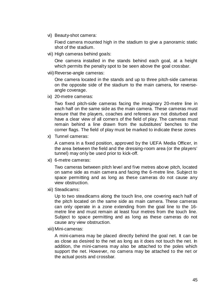vi) Beauty-shot camera:

Fixed camera mounted high in the stadium to give a panoramic static shot of the stadium.

vii) High cameras behind goals:

One camera installed in the stands behind each goal, at a height which permits the penalty spot to be seen above the goal crossbar.

viii) Reverse-angle cameras:

One camera located in the stands and up to three pitch-side cameras on the opposite side of the stadium to the main camera, for reverseangle coverage.

ix) 20-metre cameras:

Two fixed pitch-side cameras facing the imaginary 20-metre line in each half on the same side as the main camera. These cameras must ensure that the players, coaches and referees are not disturbed and have a clear view of all corners of the field of play. The cameras must remain behind a line drawn from the substitutes' benches to the corner flags. The field of play must be marked to indicate these zones

x) Tunnel cameras:

A camera in a fixed position, approved by the UEFA Media Officer, in the area between the field and the dressing-room area (or the players' tunnel) may only be used prior to kick-off.

xi) 6-metre cameras:

Two cameras between pitch level and five metres above pitch, located on same side as main camera and facing the 6-metre line. Subject to space permitting and as long as these cameras do not cause any view obstruction.

xii) Steadicams:

Up to two steadicams along the touch line, one covering each half of the pitch located on the same side as main camera. These cameras can only operate in a zone extending from the goal line to the 16 metre line and must remain at least four metres from the touch line. Subject to space permitting and as long as these cameras do not cause any view obstruction.

xiii) Mini-cameras:

A mini-camera may be placed directly behind the goal net. It can be as close as desired to the net as long as it does not touch the net. In addition, the mini-camera may also be attached to the poles which support the net. However, no camera may be attached to the net or the actual posts and crossbar.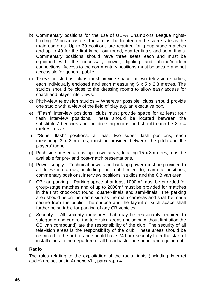- b) Commentary positions for the use of UEFA Champions League rightsholding TV broadcasters: these must be located on the same side as the main cameras. Up to 30 positions are required for group-stage-matches and up to 40 for the first knock-out round, quarter-finals and semi-finals. Commentary positions should have three seats each and must be equipped with the necessary power, lighting and phone/modem connections. Access to the commentary positions must be secure and not accessible for general public.
- c) Television studios: clubs must provide space for two television studios, each individually enclosed and each measuring 5 x 5 x 2.3 metres. The studios should be close to the dressing rooms to allow easy access for coach and player interviews.
- d) Pitch-view television studios Wherever possible, clubs should provide one studio with a view of the field of play e.g. an executive box.
- e) "Flash" interview positions: clubs must provide space for at least four flash interview positions. These should be located between the substitutes' benches and the dressing rooms and should each be 3 x 4 metres in size.
- f) "Super flash" positions: at least two super flash positions, each measuring 3 x 3 metres, must be provided between the pitch and the players' tunnel.
- g) Pitch-side presentations: up to two areas, totalling 15 x 3 metres, must be available for pre- and post-match presentations.
- h) Power supply Technical power and back-up power must be provided to all television areas, including, but not limited to, camera positions, commentary positions, interview positions, studios and the OB van area.
- i) OB van parking Parking space of at least 1000m² must be provided for group-stage matches and of up to 2000m² must be provided for matches in the first knock-out round, quarter-finals and semi-finals. The parking area should be on the same side as the main cameras and shall be made secure from the public. The surface and the layout of such space shall further be suitable for parking of any OB vehicles.
- j) Security All security measures that may be reasonably required to safeguard and control the television areas (including without limitation the OB van compound) are the responsibility of the club. The security of all television areas is the responsibility of the club. These areas should be restricted to the public and should have 24-hour security from the start of installations to the departure of all broadcaster personnel and equipment.

### **4. Radio**

The rules relating to the exploitation of the radio rights (including Internet audio) are set out in Annexe VIII, paragraph 4.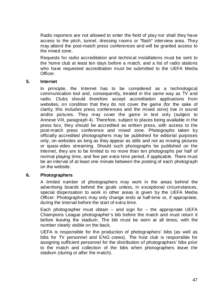Radio reporters are not allowed to enter the field of play nor shall they have access to the pitch, tunnel, dressing rooms or "flash" interview area. They may attend the post-match press conferences and will be granted access to the mixed zone.

Requests for radio accreditation and technical installations must be sent to the home club at least ten days before a match, and a list of radio stations who have requested accreditation must be submitted to the UEFA Media Officer.

### **5. Internet**

In principle, the Internet has to be considered as a technological communication tool and, consequently, treated in the same way as TV and radio. Clubs should therefore accept accreditation applications from websites, on condition that they do not cover the game (for the sake of clarity, this includes press conferences and the mixed zone) live in sound and/or pictures. They may cover the game in text only (subject to Annexe VIII, paragraph 4). Therefore, subject to places being available in the press box, they should be accredited as written press, with access to the post-match press conference and mixed zone. Photographs taken by officially accredited photographers may be published for editorial purposes only, on websites as long as they appear as stills and not as moving pictures or quasi-video streaming. Should such photographs be published on the Internet, they are to be limited to no more than ten photographs per half of normal playing time, and five per extra time period, if applicable. There must be an interval of at least one minute between the posting of each photograph on the website.

### **6. Photographers**

A limited number of photographers may work in the areas behind the advertising boards behind the goals unless, in exceptional circumstances, special dispensation to work in other areas is given by the UEFA Media Officer. Photographers may only change ends at half-time or, if appropriate, during the interval before the start of extra time.

Each photographer must obtain  $-$  and sign for  $-$  the appropriate UEFA Champions League photographer's bib before the match and must return it before leaving the stadium. The bib must be worn at all times, with the number clearly visible on the back.

UEFA is responsible for the production of photographers' bibs (as well as bibs for TV personnel and ENG crews). The host club is responsible for assigning sufficient personnel for the distribution of photographers' bibs prior to the match and collection of the bibs when photographers leave the stadium (during or after the match).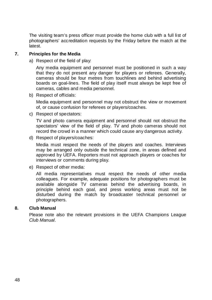The visiting team's press officer must provide the home club with a full list of photographers' accreditation requests by the Friday before the match at the latest.

# **7. Principles for the Media**

a) Respect of the field of play:

Any media equipment and personnel must be positioned in such a way that they do not present any danger for players or referees. Generally, cameras should be four metres from touchlines and behind advertising boards on goal-lines. The field of play itself must always be kept free of cameras, cables and media personnel.

b) Respect of officials:

Media equipment and personnel may not obstruct the view or movement of, or cause confusion for referees or players/coaches.

c) Respect of spectators:

TV and photo camera equipment and personnel should not obstruct the spectators' view of the field of play. TV and photo cameras should not record the crowd in a manner which could cause any dangerous activity.

d) Respect of players/coaches:

Media must respect the needs of the players and coaches. Interviews may be arranged only outside the technical zone, in areas defined and approved by UEFA. Reporters must not approach players or coaches for interviews or comments during play.

e) Respect of other media:

All media representatives must respect the needs of other media colleagues. For example, adequate positions for photographers must be available alongside TV cameras behind the advertising boards, in principle behind each goal, and press working areas must not be disturbed during the match by broadcaster technical personnel or photographers.

### **8. Club Manual**

Please note also the relevant provisions in the UEFA Champions League *Club Manual*.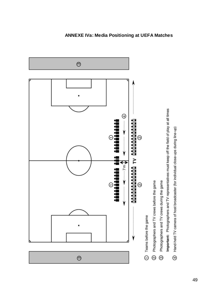

# **ANNEXE IVa: Media Positioning at UEFA Matches**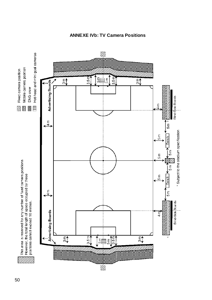

**ANNEXE IVb: TV Camera Positions**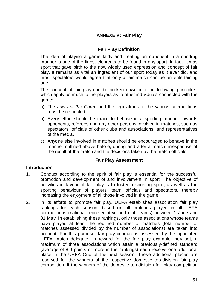# **ANNEXE V: Fair Play**

# **Fair Play Definition**

The idea of playing a game fairly and treating an opponent in a sporting manner is one of the finest elements to be found in any sport. In fact, it was sport that gave birth to the now widely used expression and concept of fair play. It remains as vital an ingredient of our sport today as it ever did, and most spectators would agree that only a fair match can be an entertaining one.

The concept of fair play can be broken down into the following principles, which apply as much to the players as to other individuals connected with the game:

- a) The *Laws of the Game* and the regulations of the various competitions must be respected.
- b) Every effort should be made to behave in a sporting manner towards opponents, referees and any other persons involved in matches, such as spectators, officials of other clubs and associations, and representatives of the media.
- c) Anyone else involved in matches should be encouraged to behave in the manner outlined above before, during and after a match, irrespective of the result of the match and the decisions taken by the match officials.

### **Fair Play Assessment**

### **Introduction**

- 1. Conduct according to the spirit of fair play is essential for the successful promotion and development of and involvement in sport. The objective of activities in favour of fair play is to foster a sporting spirit, as well as the sporting behaviour of players, team officials and spectators, thereby increasing the enjoyment of all those involved in the game.
- 2. In its efforts to promote fair play, UEFA establishes association fair play rankings for each season, based on all matches played in all UEFA competitions (national representative and club teams) between 1 June and 31 May. In establishing these rankings, only those associations whose teams have played at least the required number of matches (total number of matches assessed divided by the number of associations) are taken into account. For this purpose, fair play conduct is assessed by the appointed UEFA match delegate. In reward for the fair play example they set, a maximum of three associations which attain a previously-defined standard (average of 8.0 points or more in the rankings) each receive one additional place in the UEFA Cup of the next season. These additional places are reserved for the winners of the respective domestic top-division fair play competition. If the winners of the domestic top-division fair play competition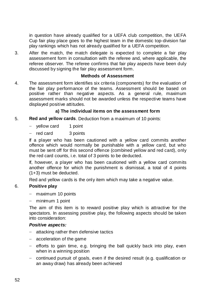in question have already qualified for a UEFA club competition, the UEFA Cup fair play place goes to the highest team in the domestic top-division fair play rankings which has not already qualified for a UEFA competition.

3. After the match, the match delegate is expected to complete a fair play assessement form in consultation with the referee and, where applicable, the referee observer. The referee confirms that fair play aspects have been duly discussed by signing the fair play assessment form.

### **Methods of Assessment**

4. The assessment form identifies six criteria (components) for the evaluation of the fair play performance of the teams. Assessment should be based on positive rather than negative aspects. As a general rule, maximum assessment marks should not be awarded unless the respective teams have displayed positive attitudes.

# **a) The individual items on the assessment form**

- 5. **Red and yellow cards**. Deduction from a maximum of 10 points:
	- yellow card 1 point
	- − red card 3 points

If a player who has been cautioned with a yellow card commits another offence which would normally be punishable with a yellow card, but who must be sent off for this second offence (combined yellow and red card), only the red card counts, i.e. total of 3 points to be deducted.

If, however, a player who has been cautioned with a yellow card commits another offence for which the punishment is dismissal, a total of 4 points (1+3) must be deducted.

Red and yellow cards is the only item which may take a negative value.

# 6. **Positive play**

- maximum 10 points
- − minimum 1 point

The aim of this item is to reward positive play which is attractive for the spectators. In assessing positive play, the following aspects should be taken into consideration:

# *Positive aspects:*

- − attacking rather then defensive tactics
- − acceleration of the game
- − efforts to gain time, e.g. bringing the ball quickly back into play, even when in a winning position
- − continued pursuit of goals, even if the desired result (e.g. qualification or an away draw) has already been achieved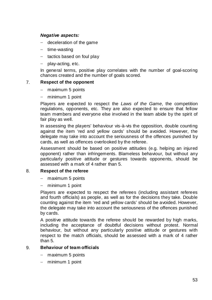# *Negative aspects:*

- − deceleration of the game
- − time-wasting
- − tactics based on foul play
- − play-acting, etc.

In general terms, positive play correlates with the number of goal-scoring chances created and the number of goals scored.

# 7. **Respect of the opponent**

- − maximum 5 points
- minimum 1 point

Players are expected to respect the *Laws of the Game*, the competition regulations, opponents, etc. They are also expected to ensure that fellow team members and everyone else involved in the team abide by the spirit of fair play as well.

In assessing the players' behaviour vis-à-vis the opposition, double counting against the item 'red and yellow cards' should be avoided. However, the delegate may take into account the seriousness of the offences punished by cards, as well as offences overlooked by the referee.

Assessment should be based on positive attitudes (e.g. helping an injured opponent) rather than infringements. Blameless behaviour, but without any particularly positive attitude or gestures towards opponents, should be assessed with a mark of 4 rather than 5.

### 8. **Respect of the referee**

- − maximum 5 points
- minimum 1 point

Players are expected to respect the referees (including assistant referees and fourth officials) as people, as well as for the decisions they take. Double counting against the item 'red and yellow cards' should be avoided. However, the delegate may take into account the seriousness of the offences punished by cards.

A positive attitude towards the referee should be rewarded by high marks, including the acceptance of doubtful decisions without protest. Normal behaviour, but without any particularly positive attitude or gestures with respect to the match officials, should be assessed with a mark of 4 rather than 5.

# 9. **Behaviour of team officials**

- − maximum 5 points
- − minimum 1 point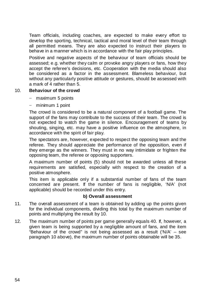Team officials, including coaches, are expected to make every effort to develop the sporting, technical, tactical and moral level of their team through all permitted means. They are also expected to instruct their players to behave in a manner which is in accordance with the fair play principles.

Positive and negative aspects of the behaviour of team officials should be assessed; e.g. whether they calm or provoke angry players or fans, how they accept the referee's decisions, etc. Cooperation with the media should also be considered as a factor in the assessment. Blameless behaviour, but without any particularly positive attitude or gestures, should be assessed with a mark of 4 rather than 5.

# 10. **Behaviour of the crowd**

- − maximum 5 points
- minimum 1 point

The crowd is considered to be a natural component of a football game. The support of the fans may contribute to the success of their team. The crowd is not expected to watch the game in silence. Encouragement of teams by shouting, singing, etc. may have a positive influence on the atmosphere, in accordance with the spirit of fair play.

The spectators are, however, expected to respect the opposing team and the referee. They should appreciate the performance of the opposition, even if they emerge as the winners. They must in no way intimidate or frighten the opposing team, the referee or opposing supporters.

A maximum number of points (5) should not be awarded unless all these requirements are satisfied, especially with respect to the creation of a positive atmosphere.

This item is applicable only if a substantial number of fans of the team concerned are present. If the number of fans is negligible, 'N/A' (not applicable) should be recorded under this entry.

# **b) Overall assessment**

- 11. The overall assessment of a team is obtained by adding up the points given for the individual components, dividing this total by the maximum number of points and multiplying the result by 10.
- 12. The maximum number of points per game generally equals 40. If, however, a given team is being supported by a negligible amount of fans, and the item "Behaviour of the crowd" is not being assessed as a result ('N/A' – see paragraph 10 above), the maximum number of points obtainable will be 35.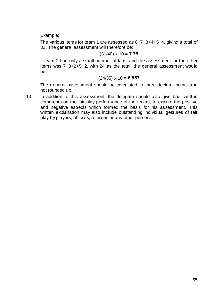Example:

The various items for team 1 are assessed as 8+7+3+4+5+4, giving a total of 31. The general assessment will therefore be:

### (31/40) x 10 = **7.75**

If team 2 had only a small number of fans, and the assessment for the other items was 7+8+2+5+2, with 24 as the total, the general assessment would be:

### (24/35) x 10 = **6.857**

The general assessment should be calculated to three decimal points and not rounded up.

13. In addition to this assessment, the delegate should also give brief written comments on the fair play performance of the teams, to explain the positive and negative aspects which formed the basis for his assessment. This written explanation may also include outstanding individual gestures of fair play by players, officials, referees or any other persons.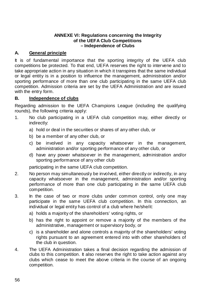# **ANNEXE VI: Regulations concerning the Integrity of the UEFA Club Competitions – Independence of Clubs**

# **A. General principle**

It is of fundamental importance that the sporting integrity of the UEFA club competitions be protected. To that end, UEFA reserves the right to intervene and to take appropriate action in any situation in which it transpires that the same individual or legal entity is in a position to influence the management, administration and/or sporting performance of more than one club participating in the same UEFA club competition. Admission criteria are set by the UEFA Administration and are issued with the entry form.

# **B. Independence of clubs**

Regarding admission to the UEFA Champions League (including the qualifying rounds), the following criteria apply:

- 1. No club participating in a UEFA club competition may, either directly or indirectly:
	- a) hold or deal in the securities or shares of any other club, or
	- b) be a member of any other club, or
	- c) be involved in any capacity whatsoever in the management, administration and/or sporting performance of any other club, or
	- d) have any power whatsoever in the management, administration and/or sporting performance of any other club

participating in the same UEFA club competition.

- 2. No person may simultaneously be involved, either directly or indirectly, in any capacity whatsoever in the management, administration and/or sporting performance of more than one club participating in the same UEFA club competition.
- 3. In the case of two or more clubs under common control, only one may participate in the same UEFA club competition. In this connection, an individual or legal entity has control of a club where he/she/it:
	- a) holds a majority of the shareholders' voting rights, or
	- b) has the right to appoint or remove a majority of the members of the administrative, management or supervisory body, or
	- c) is a shareholder and alone controls a majority of the shareholders' voting rights pursuant to an agreement entered into with other shareholders of the club in question.
- 4. The UEFA Administration takes a final decision regarding the admission of clubs to this competition. It also reserves the right to take action against any clubs which cease to meet the above criteria in the course of an ongoing competition.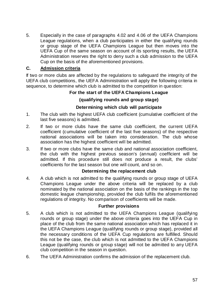5. Especially in the case of paragraphs 4.02 and 4.06 of the UEFA Champions League regulations, when a club participates in either the qualifying rounds or group stage of the UEFA Champions League but then moves into the UEFA Cup of the same season on account of its sporting results, the UEFA Administration reserves the right to deny such a club admission to the UEFA Cup on the basis of the aforementioned provisions.

# **C. Admission criteria**

If two or more clubs are affected by the regulations to safeguard the integrity of the UEFA club competitions, the UEFA Administration will apply the following criteria in sequence, to determine which club is admitted to the competition in question:

# **For the start of the UEFA Champions League**

# **(qualifying rounds and group stage)**

# **Determining which club will participate**

- 1. The club with the highest UEFA club coefficient (cumulative coefficient of the last five seasons) is admitted.
- 2. If two or more clubs have the same club coefficient, the current UEFA coefficient (cumulative coefficient of the last five seasons) of the respective national associations will be taken into consideration. The club whose association has the highest coefficient will be admitted.
- 3. If two or more clubs have the same club and national association coefficient, the club with the highest previous season's (annual) coefficient will be admitted. If this procedure still does not produce a result, the clubs' coefficients for the last season but one will count, and so on.

### **Determining the replacement club**

4. A club which is not admitted to the qualifying rounds or group stage of UEFA Champions League under the above criteria will be replaced by a club nominated by the national association on the basis of the rankings in the top domestic league championship, provided the club fulfils the aforementioned regulations of integrity. No comparison of coefficients will be made.

### **Further provisions**

- 5. A club which is not admitted to the UEFA Champions League (qualifying rounds or group stage) under the above criteria goes into the UEFA Cup in place of the club from the same national association which has replaced it in the UEFA Champions League (qualifying rounds or group stage), provided all the necessary conditions of the UEFA Cup regulations are fulfilled. Should this not be the case, the club which is not admitted to the UEFA Champions League (qualifying rounds or group stage) will not be admitted to any UEFA club competition in the season in question.
- 6. The UEFA Administration confirms the admission of the replacement club.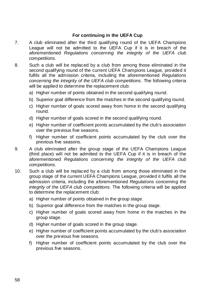# **For continuing in the UEFA Cup**

- 7. A club eliminated after the third qualifying round of the UEFA Champions League will not be admitted to the UEFA Cup if it is in breach of the aforementioned *Regulations concerning the integrity of the UEFA club competitions*.
- 8. Such a club will be replaced by a club from among those eliminated in the second qualifying round of the current UEFA Champions League, provided it fulfils all the admission criteria, including the aforementioned *Regulations concerning the integrity of the UEFA club competitions*. The following criteria will be applied to determine the replacement club:
	- a) Higher number of points obtained in the second qualifying round.
	- b) Superior goal difference from the matches in the second qualifying round.
	- c) Higher number of goals scored away from home in the second qualifying round.
	- d) Higher number of goals scored in the second qualifying round.
	- e) Higher number of coefficient points accumulated by the club's association over the previous five seasons.
	- f) Higher number of coefficient points accumulated by the club over the previous five seasons.
- 9. A club eliminated after the group stage of the UEFA Champions League (third place) will not be admitted to the UEFA Cup if it is in breach of the aforementioned *Regulations concerning the integrity of the UEFA club competitions*.
- 10. Such a club will be replaced by a club from among those eliminated in the group stage of the current UEFA Champions League, provided it fulfils all the admission criteria, including the aforementioned *Regulations concerning the integrity of the UEFA club competitions*. The following criteria will be applied to determine the replacement club:
	- a) Higher number of points obtained in the group stage.
	- b) Superior goal difference from the matches in the group stage.
	- c) Higher number of goals scored away from home in the matches in the group stage.
	- d) Higher number of goals scored in the group stage.
	- e) Higher number of coefficient points accumulated by the club's association over the previous five seasons.
	- f) Higher number of coefficient points accumulated by the club over the previous five seasons.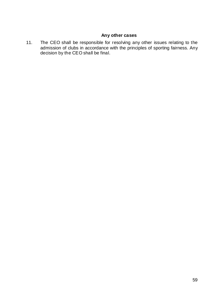# **Any other cases**

11. The CEO shall be responsible for resolving any other issues relating to the admission of clubs in accordance with the principles of sporting fairness. Any decision by the CEO shall be final.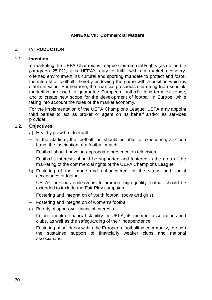# **ANNEXE VII: Commercial Matters**

# **1. INTRODUCTION**

### **1.1. Intention**

In marketing the UEFA Champions League Commercial Rights (as defined in paragraph 25.01), it is UEFA's duty to fulfil, within a market economyoriented environment, its cultural and sporting mandate to protect and foster the interest of football, thereby endowing the game with a position which is stable in value. Furthermore, the financial prospects stemming from sensible marketing are used to guarantee European football's long-term existence, and to create new scope for the development of football in Europe, while taking into account the rules of the market economy.

For the implementation of the UEFA Champions League, UEFA may appoint third parties to act as broker or agent on its behalf and/or as services provider.

# **1.2. Objectives**

- a) Healthy growth of football
- − In the stadium, the football fan should be able to experience, at close hand, the fascination of a football match.
- − Football should have an appropriate presence on television.
- − Football's interests should be supported and fostered in the area of the marketing of the commercial rights of the UEFA Champions League.
- b) Fostering of the image and enhancement of the status and social acceptance of football
- − UEFA's previous endeavours to promote high-quality football should be extended to include the Fair Play campaign.
- − Fostering and integration of youth football (boys and girls).
- − Fostering and integration of women's football.
- c) Priority of sport over financial interests
- − Future-oriented financial stability for UEFA, its member associations and clubs, as well as the safeguarding of their independence.
- − Fostering of solidarity within the European footballing community, through the sustained support of financially weaker clubs and national associations.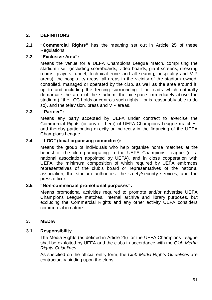# **2. DEFINITIONS**

**2.1. "Commercial Rights"** has the meaning set out in Article 25 of these Regulations.

### **2.2. "Exclusive Area":**

Means the venue for a UEFA Champions League match, comprising the stadium itself (including scoreboards, video boards, giant screens, dressing rooms, players tunnel, technical zone and all seating, hospitality and VIP areas), the hospitality areas, all areas in the vicinity of the stadium owned, controlled, managed or operated by the club, as well as the area around it, up to and including the fencing surrounding it or roads which naturally demarcate the area of the stadium, the air space immediately above the stadium (if the LOC holds or controls such rights – or is reasonably able to do so), and the television, press and VIP areas.

# **2.3. "Partner":**

Means any party accepted by UEFA under contract to exercise the Commercial Rights (or any of them) of UEFA Champions League matches, and thereby participating directly or indirectly in the financing of the UEFA Champions League.

# **2.4. "LOC" (local organising committee):**

Means the group of individuals who help organise home matches at the behest of the club participating in the UEFA Champions League (or a national association appointed by UEFA), and in close cooperation with UEFA, the minimum composition of which required by UEFA embraces representatives of the club's board or representatives of the national association, the stadium authorities, the safety/security services, and the press officer.

### **2.5. "Non-commercial promotional purposes":**

Means promotional activities required to promote and/or advertise UEFA Champions League matches, internal archive and library purposes, but excluding the Commercial Rights and any other activity UEFA considers commercial in nature.

### **3. MEDIA**

### **3.1. Responsibility**

The Media Rights (as defined in Article 25) for the UEFA Champions League shall be exploited by UEFA and the clubs in accordance with the *Club Media Rights Guidelines*.

As specified on the official entry form, the *Club Media Rights Guidelines* are contractually binding upon the clubs.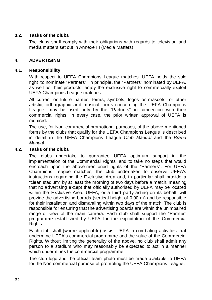# **3.2. Tasks of the clubs**

The clubs shall comply with their obligations with regards to television and media matters set out in Annexe III (Media Matters).

# **4. ADVERTISING**

# **4.1. Responsibility**

With respect to UEFA Champions League matches, UEFA holds the sole right to nominate "Partners". In principle, the "Partners" nominated by UEFA, as well as their products, enjoy the exclusive right to commercially exploit UEFA Champions League matches.

All current or future names, terms, symbols, logos or mascots, or other artistic, orthographic and musical forms concerning the UEFA Champions League, may be used only by the "Partners" in connection with their commercial rights. In every case, the prior written approval of UEFA is required.

The use, for Non-commercial promotional purposes, of the above-mentioned forms by the clubs that qualify for the UEFA Champions League is described in detail in the UEFA Champions League *Club Manual* and the *Brand Manua*l.

# **4.2. Tasks of the clubs**

The clubs undertake to guarantee UEFA optimum support in the implementation of the Commercial Rights, and to take no steps that would encroach upon the above-mentioned rights of the "Partners". For UEFA Champions League matches, the club undertakes to observe UEFA's instructions regarding the Exclusive Area and, in particular shall provide a "clean stadium" by at least the morning of two days before a match, meaning that no advertising except that officially authorised by UEFA may be located within the Exclusive Area. UEFA, or a third party acting on its behalf, will provide the advertising boards (vertical height of 0.90 m) and be responsible for their installation and dismantling within two days of the match. The club is responsible for ensuring that the advertising boards are within the unimpaired range of view of the main camera. Each club shall support the "Partner" programme established by UEFA for the exploitation of the Commercial Rights.

Each club shall (where applicable) assist UEFA in combating activities that undermine UEFA's commercial programme and the value of the Commercial Rights. Without limiting the generality of the above, no club shall admit any person to a stadium who may reasonably be expected to act in a manner which undermines the commercial programme.

The club logo and the official team photo must be made available to UEFA for the Non-commercial purpose of promoting the UEFA Champions League.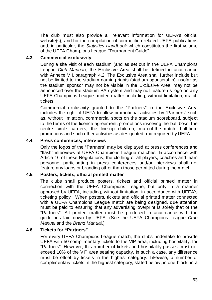The club must also provide all relevant information for UEFA's official website(s), and for the compilation of competition-related UEFA publications and, in particular, the *Statistics Handbook* which constitutes the first volume of the UEFA Champions League "Tournament Guide".

# **4.3. Commercial exclusivity**

During a site visit of each stadium (and as set out in the UEFA Champions League *Club Manual*), the Exclusive Area shall be defined in accordance with Annexe VII, paragraph 4.2. The Exclusive Area shall further include but not be limited to the stadium naming rights (stadium sponsorship) insofar as the stadium sponsor may not be visible in the Exclusive Area, may not be announced over the stadium PA system and may not feature its logo on any UEFA Champions League printed matter, including, without limitation, match tickets.

Commercial exclusivity granted to the "Partners" in the Exclusive Area includes the right of UEFA to allow promotional activities by "Partners" such as, without limitation, commercial spots on the stadium scoreboard, subject to the terms of the licence agreement, promotions involving the ball boys, the centre circle carriers, the line-up children, man-of-the-match, half-time promotions and such other activities as designated and required by UEFA.

# **4.4. Press conferences, interviews**

Only the logos of the "Partners" may be displayed at press conferences and "flash" interviews at UEFA Champions League matches. In accordance with Article 16 of these Regulations, the clothing of all players, coaches and team personnel participating in press conferences and/or interviews shall not feature any logos or branding other than those permitted during the match.

### **4.5. Posters, tickets, official printed matter**

The clubs shall produce posters, tickets and official printed matter in connection with the UEFA Champions League, but only in a manner approved by UEFA, including, without limitation, in accordance with UEFA's ticketing policy. When posters, tickets and official printed matter connected with a UEFA Champions League match are being designed, due attention must be paid to ensuring that any advertising overprint is solely that of the "Partners". All printed matter must be produced in accordance with the guidelines laid down by UEFA. (See the UEFA Champions League *Club Manual* and the *Brand Manua*l.)

### **4.6. Tickets for "Partners"**

For every UEFA Champions League match, the clubs undertake to provide UEFA with 50 complimentary tickets to the VIP area, including hospitality, for "Partners". However, this number of tickets and hospitality passes must not exceed 10% of the VIP area seating capacity. In such a case, any difference must be offset by tickets in the highest category. Likewise, a number of complimentary tickets in the highest category, stated below, in one block, in a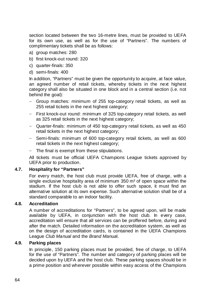section located between the two 16-metre lines, must be provided to UEFA for its own use, as well as for the use of "Partners". The numbers of complimentary tickets shall be as follows:

- a) group matches: 280
- b) first knock-out round: 320
- c) quarter-finals: 350
- d) semi-finals: 400

In addition, "Partners" must be given the opportunity to acquire, at face value, an agreed number of retail tickets, whereby tickets in the next highest category shall also be situated in one block and in a central section (i.e. not behind the goal):

- − Group matches: minimum of 255 top-category retail tickets, as well as 255 retail tickets in the next highest category;
- − First knock-out round: minimum of 325 top-category retail tickets, as well as 325 retail tickets in the next highest category;
- − Quarter-finals: minimum of 450 top-category retail tickets, as well as 450 retail tickets in the next highest category;
- − Semi-finals: minimum of 600 top-category retail tickets, as well as 600 retail tickets in the next highest category;
- − The final is exempt from these stipulations.

All tickets must be official UEFA Champions League tickets approved by UEFA prior to production.

# **4.7. Hospitality for "Partners"**

For every match, the host club must provide UEFA, free of charge, with a single exclusive hospitality area of minimum 350 m² of open space within the stadium. If the host club is not able to offer such space, it must find an alternative solution at its own expense. Such alternative solution shall be of a standard comparable to an indoor facility.

# **4.8. Accreditation**

A number of accreditations for "Partners", to be agreed upon, will be made available by UEFA, in conjunction with the host club. In every case, accreditation will ensure that all services can be proffered before, during and after the match. Detailed information on the accreditation system, as well as on the design of accreditation cards, is contained in the UEFA Champions League *Club Manual* and the *Brand Manua*l.

# **4.9. Parking places**

In principle, 150 parking places must be provided, free of charge, to UEFA for the use of "Partners". The number and category of parking places will be decided upon by UEFA and the host club. These parking spaces should be in a prime position and wherever possible within easy access of the Champions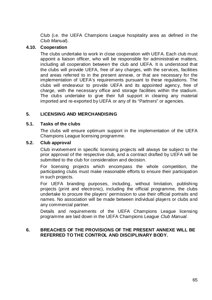Club (i.e. the UEFA Champions League hospitality area as defined in the *Club Manual*).

### **4.10. Cooperation**

The clubs undertake to work in close cooperation with UEFA. Each club must appoint a liaison officer, who will be responsible for administrative matters, including all cooperation between the club and UEFA. It is understood that the clubs will provide UEFA, free of any charges, with the services, facilities and areas referred to in the present annexe, or that are necessary for the implementation of UEFA's requirements pursuant to these regulations. The clubs will endeavour to provide UEFA and its appointed agency, free of charge, with the necessary office and storage facilities within the stadium. The clubs undertake to give their full support in clearing any material imported and re-exported by UEFA or any of its "Partners" or agencies.

# **5. LICENSING AND MERCHANDISING**

### **5.1. Tasks of the clubs**

The clubs will ensure optimum support in the implementation of the UEFA Champions League licensing programme.

### **5.2. Club approval**

Club involvement in specific licensing projects will always be subject to the prior approval of the respective club, and a contract drafted by UEFA will be submitted to the club for consideration and decision.

For licensing projects which encompass the whole competition, the participating clubs must make reasonable efforts to ensure their participation in such projects.

For UEFA branding purposes, including, without limitation, publishing projects (print and electronic), including the official programme, the clubs undertake to procure the players' permission to use their official portraits and names. No association will be made between individual players or clubs and any commercial partner.

Details and requirements of the UEFA Champions League licensing programme are laid down in the UEFA Champions League *Club Manual*.

### **6. BREACHES OF THE PROVISIONS OF THE PRESENT ANNEXE WILL BE REFERRED TO THE CONTROL AND DISCIPLINARY BODY.**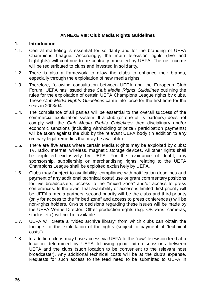# **ANNEXE VIII: Club Media Rights Guidelines**

### **1. Introduction**

- 1.1. Central marketing is essential for solidarity and for the branding of UEFA Champions League. Accordingly, the main television rights (live and highlights) will continue to be centrally marketed by UEFA. The net income will be redistributed to clubs and invested in solidarity.
- 1.2. There is also a framework to allow the clubs to enhance their brands, especially through the exploitation of new media rights.
- 1.3. Therefore, following consultation between UEFA and the European Club Forum, UEFA has issued these *Club Media Rights Guidelines* outlining the rules for the exploitation of certain UEFA Champions League rights by clubs. These *Club Media Rights Guidelines* came into force for the first time for the season 2003/04.
- 1.4. The compliance of all parties will be essential to the overall success of the commercial exploitation system. If a club (or one of its partners) does not comply with the *Club Media Rights Guidelines* then disciplinary and/or economic sanctions (including withholding of prize / participation payments) will be taken against the club by the relevant UEFA body (in addition to any ordinary legal remedies that may be available).
- 1.5. There are five areas where certain Media Rights may be exploited by clubs: TV, radio, Internet, wireless, magnetic storage devices. All other rights shall be exploited exclusively by UEFA. For the avoidance of doubt, any sponsorship, suppliership or merchandising rights relating to the UEFA Champions League shall be exploited exclusively by UEFA.
- 1.6. Clubs may (subject to availability, compliance with notification deadlines and payment of any additional technical costs) use or grant commentary positions for live broadcasters, access to the "mixed zone" and/or access to press conferences. In the event that availability or access is limited, first priority will be UEFA's media partners, second priority will be the clubs and third priority (only for access to the "mixed zone" and access to press conferences) will be non-rights holders. On-site decisions regarding these issues will be made by the UEFA Venue Director. Other production rights (e.g. OB vans, cameras, studios etc.) will not be available.
- 1.7. UEFA will create a "video archive library" from which clubs can obtain the footage for the exploitation of the rights (subject to payment of "technical costs").
- 1.8. In addition, clubs may have access via UEFA to the "raw" television feed at a location determined by UEFA following good faith discussions between UEFA and the clubs (such location to be convenient to the relevant host broadcaster). Any additional technical costs will be at the club's expense. Requests for such access to the feed need to be submitted to UEFA in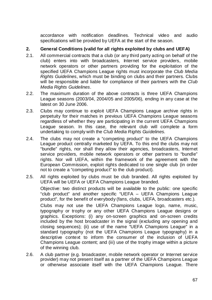accordance with notification deadlines. Technical video and audio specifications will be provided by UEFA at the start of the season.

## **2. General Conditions (valid for all rights exploited by clubs and UEFA)**

- 2.1. All commercial contracts that a club (or any third party acting on behalf of the club) enters into with broadcasters, Internet service providers, mobile network operators or other partners providing for the exploitation of the specified UEFA Champions League rights must incorporate the *Club Media Rights Guidelines*, which must be binding on clubs and their partners. Clubs will be responsible and liable for compliance of their partners with the *Club Media Rights Guidelines*.
- 2.2. The maximum duration of the above contracts is three UEFA Champions League seasons (2003/04, 2004/05 and 2005/06), ending in any case at the latest on 30 June 2006.
- 2.3. Clubs may continue to exploit UEFA Champions League archive rights in perpetuity for their matches in previous UEFA Champions League seasons regardless of whether they are participating in the current UEFA Champions League season. In this case, the relevant club will complete a form undertaking to comply with the *Club Media Rights Guidelines*.
- 2.4. The clubs may not create a "competing product" to the UEFA Champions League product centrally marketed by UEFA. To this end the clubs may not "bundle" rights, nor shall they allow their agencies, broadcasters, Internet service providers, mobile network operators or other partners to "bundle" rights. Nor will UEFA, within the framework of the agreement with the European Commission, exploit rights dedicated to one single club (in order not to create a "competing product" to the club product).
- 2.5. All rights exploited by clubs must be club branded. All rights exploited by UEFA will be UEFA or UEFA Champions League branded.

Objective: two distinct products will be available to the public: one specific "club product" and another specific "UEFA – UEFA Champions League product", for the benefit of everybody (fans, clubs, UEFA, broadcasters etc.).

Clubs may not use the UEFA Champions League logo, name, music, typography or trophy or any other UEFA Champions League designs or graphics. Exceptions: (i) any on-screen graphics and on-screen credits included by the host broadcaster in the signal (excluding any opening and closing sequences); (ii) use of the name "UEFA Champions League" in a standard typography (not the UEFA Champions League typography) in a descriptive context to inform the consumer of the inclusion of UEFA Champions League content; and (iii) use of the trophy image within a picture of the winning club.

2.6. A club partner (e.g. broadcaster, mobile network operator or Internet service provider) may not present itself as a partner of the UEFA Champions League or otherwise associate itself with the UEFA Champions League. There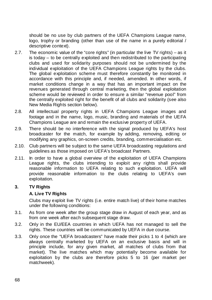should be no use by club partners of the UEFA Champions League name, logo, trophy or branding (other than use of the name in a purely editorial / descriptive context).

- 2.7. The economic value of the "core rights" (in particular the live TV rights) as it is today – to be centrally exploited and then redistributed to the participating clubs and used for solidarity purposes should not be undermined by the individual exploitation of the UEFA Champions League rights by the clubs. The global exploitation scheme must therefore constantly be monitored in accordance with this principle and, if needed, amended. In other words, if market conditions change in a way that has an important impact on the revenues generated through central marketing, then the global exploitation scheme would be reviewed in order to ensure a similar "revenue pool" from the centrally exploited right for the benefit of all clubs and solidarity (see also New Media Rights section below).
- 2.8. All intellectual property rights in UEFA Champions League images and footage and in the name, logo, music, branding and materials of the UEFA Champions League are and remain the exclusive property of UEFA.
- 2.9. There should be no interference with the signal produced by UEFA's host broadcaster for the match, for example by adding, removing, editing or modifying any graphics, on-screen credits, branding, commercialisation etc.
- 2.10. Club partners will be subject to the same UEFA broadcasting regulations and guidelines as those imposed on UEFA's broadcast Partners.
- 2.11. In order to have a global overview of the exploitation of UEFA Champions League rights, the clubs intending to exploit any rights shall provide reasonable information to UEFA relating to such exploitation. UEFA will provide reasonable information to the clubs relating to UEFA's own exploitation.

#### **3. TV Rights**

#### **A. Live TV Rights**

Clubs may exploit live TV rights (i.e. entire match live) of their home matches under the following conditions:

- 3.1. As from one week after the group stage draw in August of each year, and as from one week after each subsequent stage draw.
- 3.2. Only in the EU/EEA countries in which UEFA has not managed to sell the rights. These countries will be communicated by UEFA in due course.
- 3.3. Only once the "UEFA broadcasters" have made their picks 1 to 4 (which are always centrally marketed by UEFA on an exclusive basis and will in principle include, for any given market, all matches of clubs from that market). The live matches which may potentially become available for exploitation by the clubs are therefore picks 5 to 16 (per market per matchweek).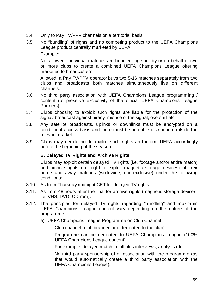- 3.4. Only to Pay TV/PPV channels on a territorial basis.
- 3.5. No "bundling" of rights and no competing product to the UEFA Champions League product centrally marketed by UEFA.

Example:

Not allowed: individual matches are bundled together by or on behalf of two or more clubs to create a combined UEFA Champions League offering marketed to broadcasters.

Allowed: a Pay TV/PPV operator buys two 5-16 matches separately from two clubs and broadcasts both matches simultaneously live on different channels.

- 3.6. No third party association with UEFA Champions League programming / content (to preserve exclusivity of the official UEFA Champions League Partners).
- 3.7. Clubs choosing to exploit such rights are liable for the protection of the signal/ broadcast against piracy, misuse of the signal, overspill etc.
- 3.8. Any satellite broadcasts, uplinks or downlinks must be encrypted on a conditional access basis and there must be no cable distribution outside the relevant market.
- 3.9. Clubs may decide not to exploit such rights and inform UEFA accordingly before the beginning of the season.

# **B. Delayed TV Rights and Archive Rights**

Clubs may exploit certain delayed TV rights (i.e. footage and/or entire match) and archive rights (i.e. right to exploit magnetic storage devices) of their home and away matches (worldwide, non-exclusive) under the following conditions:

- 3.10. As from Thursday midnight CET for delayed TV rights.
- 3.11. As from 48 hours after the final for archive rights (magnetic storage devices, i.e. VHS, DVD, CD-rom).
- 3.12. The principles for delayed TV rights regarding "bundling" and maximum UEFA Champions League content vary depending on the nature of the programme:
	- a) UEFA Champions League Programme on Club Channel
		- − Club channel (club branded and dedicated to the club)
		- − Programme can be dedicated to UEFA Champions League (100% UEFA Champions League content)
		- − For example, delayed match in full plus interviews, analysis etc.
		- − No third party sponsorship of or association with the programme (as that would automatically create a third party association with the UEFA Champions League).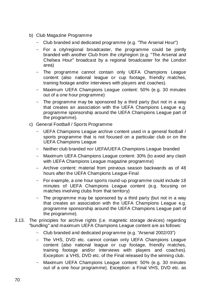- b) Club Magazine Programme
	- − Club branded and dedicated programme (e.g. "The Arsenal Hour")
	- − For a city/regional broadcaster, the programme could be jointly branded with another Club from the city/region (e.g. "The Arsenal and Chelsea Hour" broadcast by a regional broadcaster for the London area)
	- The programme cannot contain only UEFA Champions League content (also national league or cup footage, friendly matches, training footage and/or interviews with players and coaches).
	- − Maximum UEFA Champions League content: 50% (e.g. 30 minutes out of a one hour programme)
	- − The programme may be sponsored by a third party (but not in a way that creates an association with the UEFA Champions League e.g. programme sponsorship around the UEFA Champions League part of the programme).
- c) General Football / Sports Programme
	- − UEFA Champions League archive content used in a general football / sports programme that is not focused on a particular club or on the UEFA Champions League
	- − Neither club branded nor UEFA/UEFA Champions League branded
	- − Maximum UEFA Champions League content: 30% (to avoid any clash with UEFA Champions League magazine programme)
	- − Archive content: material from previous season backwards as of 48 hours after the UEFA Champions League Final
	- − For example, a one hour sports round-up programme could include 18 minutes of UEFA Champions League content (e.g. focusing on matches involving clubs from that territory)
	- The programme may be sponsored by a third party (but not in a way that creates an association with the UEFA Champions League e.g. programme sponsorship around the UEFA Champions League part of the programme).
- 3.13. The principles for archive rights (i.e. magnetic storage devices) regarding "bundling" and maximum UEFA Champions League content are as follows:
	- − Club branded and dedicated programme (e.g. "Arsenal 2002/03")
	- − The VHS, DVD etc. cannot contain only UEFA Champions League content (also national league or cup footage, friendly matches, training footage and/or interviews with players and coaches). Exception: a VHS, DVD etc. of the Final released by the winning club.
	- Maximum UEFA Champions League content: 50% (e.g. 30 minutes out of a one hour programme). Exception: a Final VHS, DVD etc. as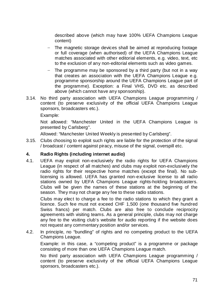described above (which may have 100% UEFA Champions League content)

- The magnetic storage devices shall be aimed at reproducing footage or full coverage (when authorised) of the UEFA Champions League matches associated with other editorial elements, e.g. video, text, etc to the exclusion of any non-editorial elements such as video games.
- The programme may be sponsored by a third party (but not in a way that creates an association with the UEFA Champions League e.g. programme sponsorship around the UEFA Champions League part of the programme). Exception: a Final VHS, DVD etc. as described above (which cannot have any sponsorship).
- 3.14. No third party association with UEFA Champions League programming / content (to preserve exclusivity of the official UEFA Champions League sponsors, broadcasters etc.).

Example:

Not allowed: "Manchester United in the UEFA Champions League is presented by Carlsberg".

Allowed: "Manchester United Weekly is presented by Carlsberg".

3.15. Clubs choosing to exploit such rights are liable for the protection of the signal / broadcast / content against piracy, misuse of the signal, overspill etc.

#### **4. Radio Rights (including internet audio)**

4.1. UEFA may exploit non-exclusively the radio rights for UEFA Champions League (in respect of all matches) and clubs may exploit non-exclusively the radio rights for their respective home matches (except the final). No sublicensing is allowed. UEFA has granted non-exclusive license to all radio stations owned by UEFA Champions League rights-holding broadcasters. Clubs will be given the names of these stations at the beginning of the season. They may not charge any fee to these radio stations.

Clubs may elect to charge a fee to the radio stations to which they grant a licence. Such fee must not exceed CHF 1,500 (one thousand five hundred Swiss francs) per match. Clubs are also free to conclude reciprocity agreements with visiting teams. As a general principle, clubs may not charge any fee to the visiting club's website for audio reporting if the website does not request any commentary position and/or services.

4.2. In principle, no "bundling" of rights and no competing product to the UEFA Champions League.

Example: in this case, a "competing product" is a programme or package consisting of more than one UEFA Champions League match.

No third party association with UEFA Champions League programming / content (to preserve exclusivity of the official UEFA Champions League sponsors, broadcasters etc.).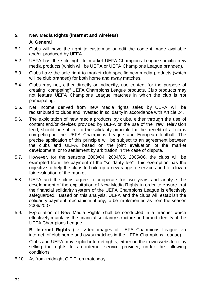### **5. New Media Rights (internet and wireless) A. General**

- 5.1. Clubs will have the right to customise or edit the content made available and/or produced by UEFA.
- 5.2. UEFA has the sole right to market UEFA-Champions-League-specific new media products (which will be UEFA or UEFA Champions League branded).
- 5.3. Clubs have the sole right to market club-specific new media products (which will be club branded) for both home and away matches.
- 5.4. Clubs may not, either directly or indirectly, use content for the purpose of creating "competing" UEFA Champions League products. Club products may not feature UEFA Champions League matches in which the club is not participating.
- 5.5. Net income derived from new media rights sales by UEFA will be redistributed to clubs and invested in solidarity in accordance with Article 24.
- 5.6. The exploitation of new media products by clubs, either through the use of content and/or devices provided by UEFA or the use of the "raw" television feed, should be subject to the solidarity principle for the benefit of all clubs competing in the UEFA Champions League and European football. The precise application of this principle will be subject to an agreement between the clubs and UEFA, based on the joint evaluation of the market development, or to settlement by arbitration in the case of dispute.
- 5.7. However, for the seasons 2003/04, 2004/05, 2005/06, the clubs will be exempted from the payment of the "solidarity fee". This exemption has the objective to help the clubs to build up a new range of services and to allow a fair evaluation of the market.
- 5.8. UEFA and the clubs agree to cooperate for two years and analyse the development of the exploitation of New Media Rights in order to ensure that the financial solidarity system of the UEFA Champions League is effectively safeguarded. Based on this analysis, UEFA and the clubs will establish the solidarity payment mechanism, if any, to be implemented as from the season 2006/2007.
- 5.9. Exploitation of New Media Rights shall be conducted in a manner which effectively maintains the financial solidarity structure and brand identity of the UEFA Champions League.

**B. Internet Rights** (i.e. video images of UEFA Champions League via internet, of club home and away matches in the UEFA Champions League)

Clubs and UEFA may exploit internet rights, either on their own website or by selling the rights to an internet service provider, under the following conditions:

5.10. As from midnight C.E.T. on matchday.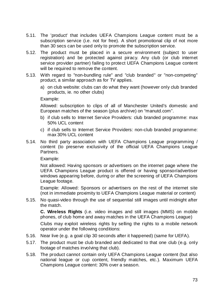- 5.11. The 'product' that includes UEFA Champions League content must be a subscription service (i.e. not for free). A short promotional clip of not more than 30 secs can be used only to promote the subscription service.
- 5.12. The product must be placed in a secure environment (subject to user registration) and be protected against piracy. Any club (or club internet service provider partner) failing to protect UEFA Champions League content will be required to remove the content.
- 5.13. With regard to "non-bundling rule" and "club branded" or "non-competing" product, a similar approach as for TV applies.
	- a) on club website: clubs can do what they want (however only club branded products, ie. no other clubs)

Example:

Allowed: subscription to clips of all of Manchester United's domestic and European matches of the season (plus archive) on "manutd.com".

- b) if club sells to Internet Service Providers: club branded programme: max 50% UCL content
- c) if club sells to Internet Service Providers: non-club branded programme: max 30% UCL content
- 5.14. No third party association with UEFA Champions League programming / content (to preserve exclusivity of the official UEFA Champions League Partners.

Example:

Not allowed: Having sponsors or advertisers on the internet page where the UEFA Champions League product is offered or having sponsor/advertiser windows appearing before, during or after the screening of UEFA Champions League footage.

Example: Allowed: Sponsors or advertisers on the rest of the internet site (not in immediate proximity to UEFA Champions League material or content)

5.15. No quasi-video through the use of sequential still images until midnight after the match.

**C. Wireless Rights** (i.e. video images and still images (MMS) on mobile phones, of club home and away matches in the UEFA Champions League)

Clubs may exploit wireless rights by selling the rights to a mobile network operator under the following conditions:

- 5.16. Near live (e.g. a goal clip 30 seconds after it happened) (same for UEFA).
- 5.17. The product must be club branded and dedicated to that one club (e.g. only footage of matches involving that club).
- 5.18. The product cannot contain only UEFA Champions League content (but also national league or cup content, friendly matches, etc.). Maximum UEFA Champions League content: 30% over a season.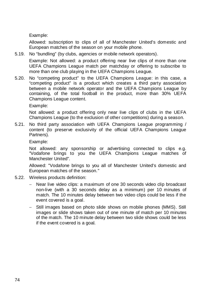Example:

Allowed: subscription to clips of all of Manchester United's domestic and European matches of the season on your mobile phone.

- 5.19. No "bundling" (by clubs, agencies or mobile network operators). Example: Not allowed: a product offering near live clips of more than one UEFA Champions League match per matchday or offering to subscribe to more than one club playing in the UEFA Champions League.
- 5.20. No "competing product" to the UEFA Champions League: in this case, a "competing product" is a product which creates a third party association between a mobile network operator and the UEFA Champions League by containing, of the total football in the product, more than 30% UEFA Champions League content.

Example:

Not allowed: a product offering only near live clips of clubs in the UEFA Champions League (to the exclusion of other competitions) during a season.

5.21. No third party association with UEFA Champions League programming / content (to preserve exclusivity of the official UEFA Champions League Partners).

Example:

Not allowed: any sponsorship or advertising connected to clips e.g. "Vodafone brings to you the UEFA Champions League matches of Manchester United".

Allowed: "Vodafone brings to you all of Manchester United's domestic and European matches of the season."

- 5.22. Wireless products definition:
	- − Near live video clips: a maximum of one 30 seconds video clip broadcast non-live (with a 30 seconds delay as a minimum) per 10 minutes of match. The 10 minutes delay between two video clips could be less if the event covered is a goal.
	- − Still images based on photo slide shows on mobile phones (MMS). Still images or slide shows taken out of one minute of match per 10 minutes of the match. The 10 minute delay between two slide shows could be less if the event covered is a goal.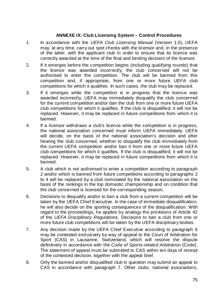## **ANNEXE IX: Club Licensing System – Control Procedures**

- 1. In accordance with the *UEFA Club Licensing Manual* (Version 1.0), UEFA may, at any time, carry out spot checks with the licensor and, in the presence of the latter, with the applicant club in order to ensure that its licence was correctly awarded at the time of the final and binding decision of the licensor.
- 2. If it emerges before the competition begins (including qualifying rounds) that the licence was awarded incorrectly, the club concerned will not be authorised to enter the competition. The club will be banned from this competition and, if appropriate, from one or more future UEFA club competitions for which it qualifies. In such cases, the club may be replaced.
- 3. If it emerges while the competition is in progress that the licence was awarded incorrectly, UEFA may immediately disqualify the club concerned for the current competition and/or ban the club from one or more future UEFA club competitions for which it qualifies. If the club is disqualified, it will not be replaced. However, it may be replaced in future competitions from which it is banned.
- 4. If a licensor withdraws a club's licence while the competition is in progress, the national association concerned must inform UEFA immediately. UEFA will decide, on the basis of the national association's decision and after hearing the club concerned, whether to disqualify the club immediately from the current UEFA competition and/or ban it from one or more future UEFA club competitions for which it qualifies. If the club is disqualified, it will not be replaced. However, it may be replaced in future competitions from which it is banned.
- 5. A club which is not authorised to enter a competition according to paragraph 2 and/or which is banned from future competitions according to paragraphs 2 to 4 will be replaced by a club nominated by the national association on the basis of the rankings in the top domestic championship and on condition that the club concerned is licensed for the corresponding season.
- 6. Decisions to disqualify and/or to ban a club from a current competition will be taken by the UEFA Chief Executive. In the case of immediate disqualification, he will also decide on the sporting consequences of the disqualification. With regard to the proceedings, he applies by analogy the provisions of Article 42 of the *UEFA Disciplinary Regulations*. Decisions to ban a club from one or more future club competitions will be taken by the UEFA disciplinary bodies.
- 7. Any decision made by the UEFA Chief Executive according to paragraph 6 may be contested exclusively by way of appeal to the Court of Arbitration for Sport (CAS) in Lausanne, Switzerland, which will resolve the dispute definitively in accordance with the *Code of Sports-related Arbitration* (Code). The statement of appeal must be submitted to CAS within ten days of receipt of the contested decision, together with the appeal brief.
- 8. Only the banned and/or disqualified club in question may submit an appeal to CAS in accordance with paragraph 7. Other clubs, national associations,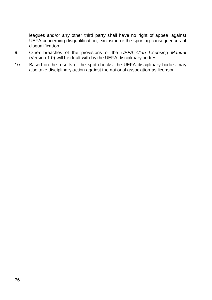leagues and/or any other third party shall have no right of appeal against UEFA concerning disqualification, exclusion or the sporting consequences of disqualification.

- 9. Other breaches of the provisions of the *UEFA Club Licensing Manual*  (Version 1.0) will be dealt with by the UEFA disciplinary bodies.
- 10. Based on the results of the spot checks, the UEFA disciplinary bodies may also take disciplinary action against the national association as licensor.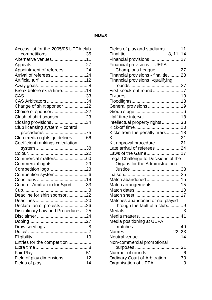# **INDEX**

| Access list for the 2005/06 UEFA club |  |
|---------------------------------------|--|
| competitions35                        |  |
| Alternative venues11                  |  |
|                                       |  |
| Appointment of referees24             |  |
| Arrival of referees24                 |  |
|                                       |  |
|                                       |  |
| Break before extra time18             |  |
|                                       |  |
| CAS Arbitrators 34                    |  |
| Change of shirt sponsor22             |  |
| Choice of sponsor22                   |  |
| Clash of shirt sponsor 23             |  |
| Closing provisions 34                 |  |
| Club licensing system - control       |  |
| procedures 75                         |  |
| Club media rights guidelines66        |  |
| Coefficient rankings calculation      |  |
|                                       |  |
|                                       |  |
| Commercial matters60                  |  |
| Commercial rights29                   |  |
| Competition logo23                    |  |
|                                       |  |
|                                       |  |
| Court of Arbitration for Sport 33     |  |
|                                       |  |
| Deadline for shirt sponsor22          |  |
|                                       |  |
| Declaration of protests26             |  |
| Disciplinary Law and Procedures25     |  |
|                                       |  |
|                                       |  |
|                                       |  |
|                                       |  |
|                                       |  |
| Entries for the competition 1         |  |
|                                       |  |
|                                       |  |
| Field of play dimensions12            |  |
|                                       |  |

| Fields of play and stadiums 11                             |   |
|------------------------------------------------------------|---|
|                                                            |   |
| Financial provisions 27                                    |   |
| Financial provisions - UEFA                                |   |
| Champions League27                                         |   |
| Financial provisions - final tie 28                        |   |
| Financial provisions -qualifying                           |   |
|                                                            |   |
| First knock-out round7                                     |   |
|                                                            |   |
|                                                            |   |
| General provisions 19                                      |   |
|                                                            |   |
| Half-time interval 18                                      |   |
| Intellectual property rights33                             |   |
|                                                            |   |
| Kicks from the penalty mark18                              |   |
|                                                            |   |
| Kit approval procedure21                                   |   |
| Late arrival of referees24                                 |   |
| Laws of the Game17                                         |   |
|                                                            |   |
|                                                            |   |
| Legal Challenge to Decisions of the                        |   |
| Organs for the Administration of                           |   |
|                                                            |   |
|                                                            |   |
| Match abandoned 15                                         |   |
| Match arrangements15                                       |   |
|                                                            |   |
|                                                            |   |
| Matches abandoned or not played                            |   |
| through the fault of a club                                | 9 |
|                                                            |   |
| Media matters41                                            |   |
| Media positioning at UEFA                                  |   |
|                                                            |   |
|                                                            |   |
| Neutral venue14                                            |   |
| Non-commercial promotional                                 |   |
|                                                            |   |
|                                                            |   |
| Ordinary Court of Arbitration 33<br>Organisation of UEFA 3 |   |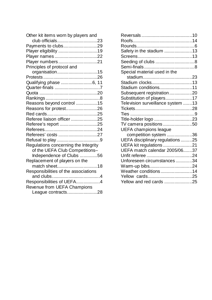| Other kit items worn by players and  |  |
|--------------------------------------|--|
| club officials23                     |  |
| Payments to clubs29                  |  |
| Player eligibility 19                |  |
| Player names 22                      |  |
| Player numbers21                     |  |
| Principles of protocol and           |  |
| organisation15                       |  |
|                                      |  |
| Qualifying phase 6, 11               |  |
|                                      |  |
|                                      |  |
|                                      |  |
| Reasons beyond control 15            |  |
| Reasons for protest26                |  |
|                                      |  |
| Referee liaison officer 25           |  |
| Referee's report 25                  |  |
|                                      |  |
| Referees' costs 27                   |  |
|                                      |  |
| Regulations concerning the Integrity |  |
| of the UEFA Club Competitions-       |  |
| Independence of Clubs 56             |  |
| Replacement of players on the        |  |
| match sheet18                        |  |
| Responsibilities of the associations |  |
|                                      |  |
| Responsibilities of UEFA4            |  |
| Revenue from UEFA Champions          |  |
| League contracts28                   |  |

| Safety in the stadium 13          |  |
|-----------------------------------|--|
|                                   |  |
|                                   |  |
|                                   |  |
| Special material used in the      |  |
|                                   |  |
| Stadium clocks13                  |  |
| Stadium conditions11              |  |
| Subsequent registration20         |  |
| Substitution of players17         |  |
| Television surveillance system 13 |  |
|                                   |  |
|                                   |  |
| Title-holder logo 23              |  |
| TV camera positions 50            |  |
| <b>UEFA champions league</b>      |  |
| competition system 36             |  |
| UEFA disciplinary regulations 25  |  |
| UEFA kit regulations 21           |  |
| UEFA match calendar 2005/0637     |  |
|                                   |  |
| Unforeseen circumstances 34       |  |
| Warm-up bibs24                    |  |
| Weather conditions14              |  |
|                                   |  |
| Yellow and red cards 25           |  |
|                                   |  |